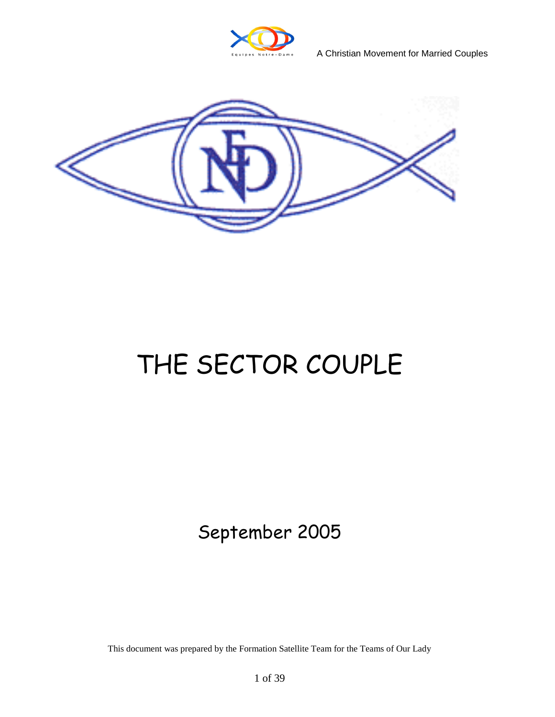

A Christian Movement for Married Couples



## THE SECTOR COUPLE

## September 2005

This document was prepared by the Formation Satellite Team for the Teams of Our Lady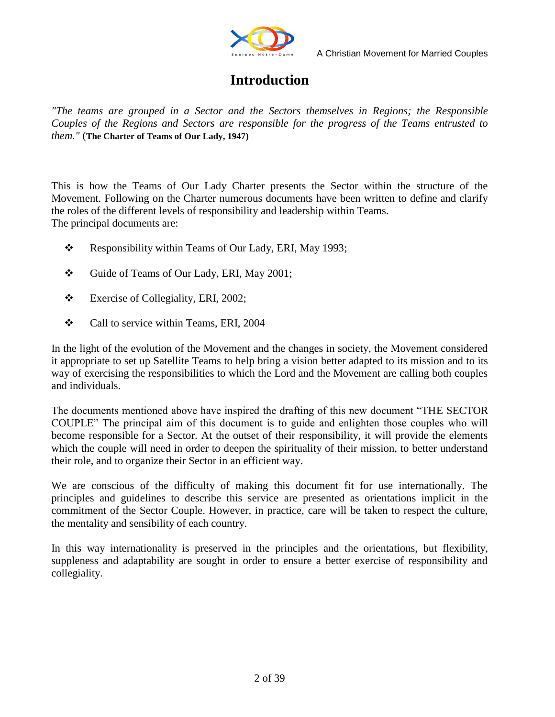

## **Introduction**

*"The teams are grouped in a Sector and the Sectors themselves in Regions; the Responsible Couples of the Regions and Sectors are responsible for the progress of the Teams entrusted to them."* (**The Charter of Teams of Our Lady, 1947)**

This is how the Teams of Our Lady Charter presents the Sector within the structure of the Movement. Following on the Charter numerous documents have been written to define and clarify the roles of the different levels of responsibility and leadership within Teams. The principal documents are:

- \* Responsibility within Teams of Our Lady, ERI, May 1993;
- Guide of Teams of Our Lady, ERI, May 2001;
- \* Exercise of Collegiality, ERI, 2002;
- Call to service within Teams, ERI, 2004

In the light of the evolution of the Movement and the changes in society, the Movement considered it appropriate to set up Satellite Teams to help bring a vision better adapted to its mission and to its way of exercising the responsibilities to which the Lord and the Movement are calling both couples and individuals.

The documents mentioned above have inspired the drafting of this new document "THE SECTOR COUPLE" The principal aim of this document is to guide and enlighten those couples who will become responsible for a Sector. At the outset of their responsibility, it will provide the elements which the couple will need in order to deepen the spirituality of their mission, to better understand their role, and to organize their Sector in an efficient way.

We are conscious of the difficulty of making this document fit for use internationally. The principles and guidelines to describe this service are presented as orientations implicit in the commitment of the Sector Couple. However, in practice, care will be taken to respect the culture, the mentality and sensibility of each country.

In this way internationality is preserved in the principles and the orientations, but flexibility, suppleness and adaptability are sought in order to ensure a better exercise of responsibility and collegiality.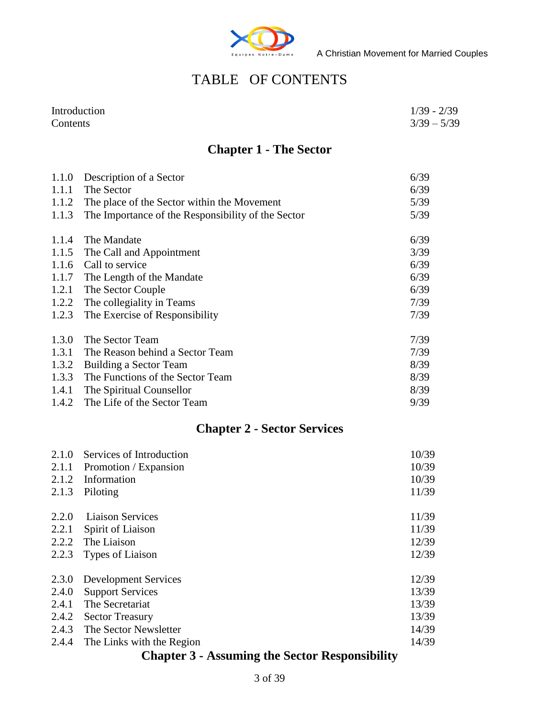

## TABLE OF CONTENTS

| Introduction | $1/39 - 2/39$ |
|--------------|---------------|
| Contents     | $3/39 - 5/39$ |

## **Chapter 1 - The Sector**

| 1.1.0 | Description of a Sector                            | 6/39 |
|-------|----------------------------------------------------|------|
| 1.1.1 | The Sector                                         | 6/39 |
| 1.1.2 | The place of the Sector within the Movement        | 5/39 |
| 1.1.3 | The Importance of the Responsibility of the Sector | 5/39 |
| 1.1.4 | The Mandate                                        | 6/39 |
| 1.1.5 | The Call and Appointment                           | 3/39 |
| 1.1.6 | Call to service                                    | 6/39 |
| 1.1.7 | The Length of the Mandate                          | 6/39 |
| 1.2.1 | The Sector Couple                                  | 6/39 |
| 1.2.2 | The collegiality in Teams                          | 7/39 |
| 1.2.3 | The Exercise of Responsibility                     | 7/39 |
| 1.3.0 | The Sector Team                                    | 7/39 |
| 1.3.1 | The Reason behind a Sector Team                    | 7/39 |
| 1.3.2 | Building a Sector Team                             | 8/39 |
| 1.3.3 | The Functions of the Sector Team                   | 8/39 |
| 1.4.1 | The Spiritual Counsellor                           | 8/39 |
| 1.4.2 | The Life of the Sector Team                        | 9/39 |

## **Chapter 2 - Sector Services**

| Services of Introduction    | 10/39 |
|-----------------------------|-------|
| Promotion / Expansion       | 10/39 |
| Information                 | 10/39 |
| Piloting                    | 11/39 |
| <b>Liaison Services</b>     | 11/39 |
| Spirit of Liaison           | 11/39 |
| The Liaison                 | 12/39 |
| Types of Liaison            | 12/39 |
| <b>Development Services</b> | 12/39 |
| <b>Support Services</b>     | 13/39 |
| The Secretariat             | 13/39 |
| <b>Sector Treasury</b>      | 13/39 |
| The Sector Newsletter       | 14/39 |
| The Links with the Region   | 14/39 |
|                             |       |

## **Chapter 3 - Assuming the Sector Responsibility**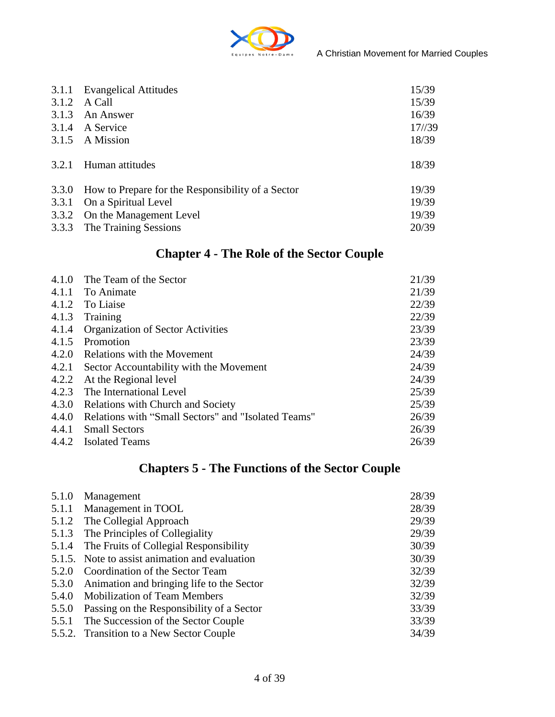

| 3.1.1 | <b>Evangelical Attitudes</b>                      | 15/39  |
|-------|---------------------------------------------------|--------|
| 3.1.2 | A Call                                            | 15/39  |
| 3.1.3 | An Answer                                         | 16/39  |
| 3.1.4 | A Service                                         | 17//39 |
| 3.1.5 | A Mission                                         | 18/39  |
| 3.2.1 | Human attitudes                                   | 18/39  |
| 3.3.0 | How to Prepare for the Responsibility of a Sector | 19/39  |
| 3.3.1 | On a Spiritual Level                              | 19/39  |
| 3.3.2 | On the Management Level                           | 19/39  |
| 3.3.3 | The Training Sessions                             | 20/39  |

## **Chapter 4 - The Role of the Sector Couple**

| 4.1.0 | The Team of the Sector                              | 21/39 |
|-------|-----------------------------------------------------|-------|
| 4.1.1 | To Animate                                          | 21/39 |
| 4.1.2 | To Liaise                                           | 22/39 |
| 4.1.3 | Training                                            | 22/39 |
| 4.1.4 | <b>Organization of Sector Activities</b>            | 23/39 |
| 4.1.5 | Promotion                                           | 23/39 |
| 4.2.0 | Relations with the Movement                         | 24/39 |
| 4.2.1 | Sector Accountability with the Movement             | 24/39 |
| 4.2.2 | At the Regional level                               | 24/39 |
| 4.2.3 | The International Level                             | 25/39 |
| 4.3.0 | <b>Relations with Church and Society</b>            | 25/39 |
| 4.4.0 | Relations with "Small Sectors" and "Isolated Teams" | 26/39 |
| 4.4.1 | <b>Small Sectors</b>                                | 26/39 |
| 4.4.2 | <b>Isolated Teams</b>                               | 26/39 |

## **Chapters 5 - The Functions of the Sector Couple**

| 5.1.0 | Management                                     | 28/39 |
|-------|------------------------------------------------|-------|
| 5.1.1 | Management in TOOL                             | 28/39 |
|       | 5.1.2 The Collegial Approach                   | 29/39 |
|       | 5.1.3 The Principles of Collegiality           | 29/39 |
| 5.1.4 | The Fruits of Collegial Responsibility         | 30/39 |
|       | 5.1.5. Note to assist animation and evaluation | 30/39 |
| 5.2.0 | Coordination of the Sector Team                | 32/39 |
| 5.3.0 | Animation and bringing life to the Sector      | 32/39 |
|       | 5.4.0 Mobilization of Team Members             | 32/39 |
| 5.5.0 | Passing on the Responsibility of a Sector      | 33/39 |
| 5.5.1 | The Succession of the Sector Couple            | 33/39 |
|       | 5.5.2. Transition to a New Sector Couple       | 34/39 |
|       |                                                |       |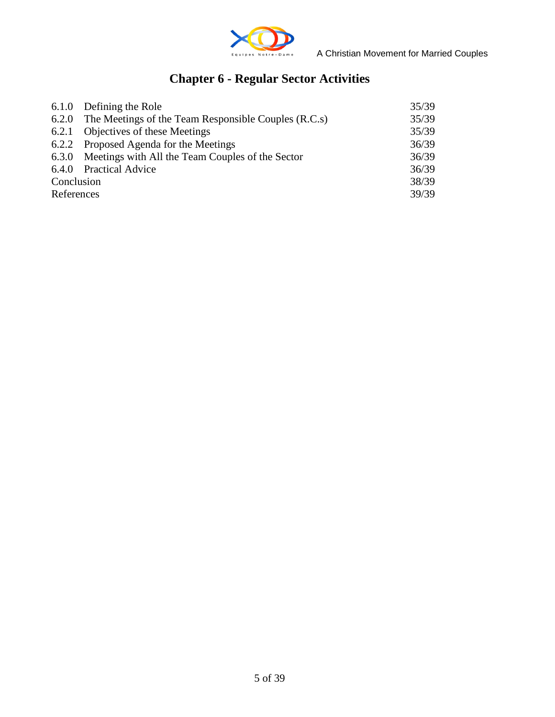

## **Chapter 6 - Regular Sector Activities**

|            | 6.1.0 Defining the Role                                      | 35/39 |
|------------|--------------------------------------------------------------|-------|
|            | 6.2.0 The Meetings of the Team Responsible Couples $(R.C.s)$ | 35/39 |
|            | 6.2.1 Objectives of these Meetings                           | 35/39 |
|            | 6.2.2 Proposed Agenda for the Meetings                       | 36/39 |
|            | 6.3.0 Meetings with All the Team Couples of the Sector       | 36/39 |
|            | 6.4.0 Practical Advice                                       | 36/39 |
| Conclusion |                                                              | 38/39 |
| References |                                                              | 39/39 |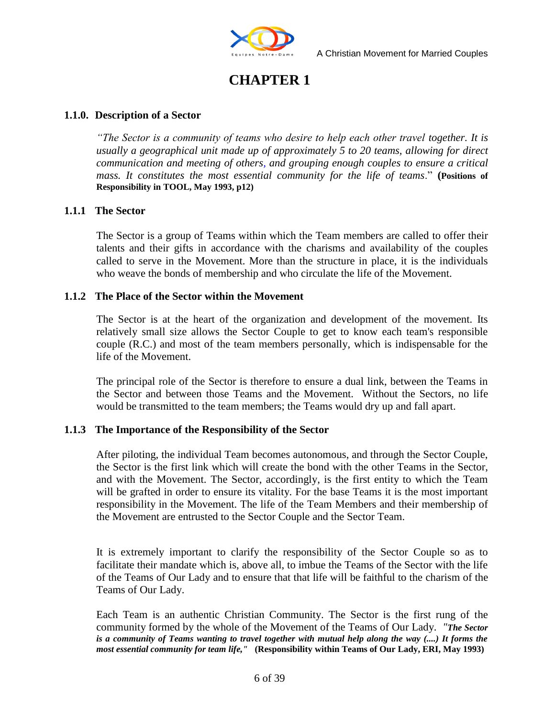

## **CHAPTER 1**

#### **1.1.0. Description of a Sector**

*"The Sector is a community of teams who desire to help each other travel together. It is usually a geographical unit made up of approximately 5 to 20 teams, allowing for direct communication and meeting of others, and grouping enough couples to ensure a critical mass. It constitutes the most essential community for the life of teams*." **(Positions of Responsibility in TOOL, May 1993, p12)**

#### **1.1.1 The Sector**

The Sector is a group of Teams within which the Team members are called to offer their talents and their gifts in accordance with the charisms and availability of the couples called to serve in the Movement. More than the structure in place, it is the individuals who weave the bonds of membership and who circulate the life of the Movement.

#### **1.1.2 The Place of the Sector within the Movement**

The Sector is at the heart of the organization and development of the movement. Its relatively small size allows the Sector Couple to get to know each team's responsible couple (R.C.) and most of the team members personally, which is indispensable for the life of the Movement.

The principal role of the Sector is therefore to ensure a dual link, between the Teams in the Sector and between those Teams and the Movement. Without the Sectors, no life would be transmitted to the team members; the Teams would dry up and fall apart.

#### **1.1.3 The Importance of the Responsibility of the Sector**

After piloting, the individual Team becomes autonomous, and through the Sector Couple, the Sector is the first link which will create the bond with the other Teams in the Sector, and with the Movement. The Sector, accordingly, is the first entity to which the Team will be grafted in order to ensure its vitality. For the base Teams it is the most important responsibility in the Movement. The life of the Team Members and their membership of the Movement are entrusted to the Sector Couple and the Sector Team.

It is extremely important to clarify the responsibility of the Sector Couple so as to facilitate their mandate which is, above all, to imbue the Teams of the Sector with the life of the Teams of Our Lady and to ensure that that life will be faithful to the charism of the Teams of Our Lady.

Each Team is an authentic Christian Community. The Sector is the first rung of the community formed by the whole of the Movement of the Teams of Our Lady. *"The Sector is a community of Teams wanting to travel together with mutual help along the way (....) It forms the most essential community for team life,"* **(Responsibility within Teams of Our Lady, ERI, May 1993)**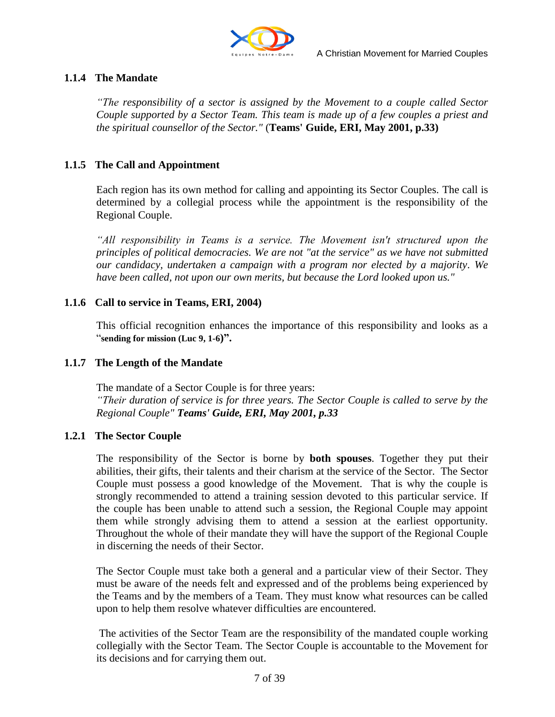

#### **1.1.4 The Mandate**

*"The responsibility of a sector is assigned by the Movement to a couple called Sector Couple supported by a Sector Team. This team is made up of a few couples a priest and the spiritual counsellor of the Sector."* (**Teams' Guide, ERI, May 2001, p.33)**

#### **1.1.5 The Call and Appointment**

Each region has its own method for calling and appointing its Sector Couples. The call is determined by a collegial process while the appointment is the responsibility of the Regional Couple.

*"All responsibility in Teams is a service. The Movement isn't structured upon the principles of political democracies. We are not "at the service" as we have not submitted our candidacy, undertaken a campaign with a program nor elected by a majority. We have been called, not upon our own merits, but because the Lord looked upon us."*

#### **1.1.6 Call to service in Teams, ERI, 2004)**

This official recognition enhances the importance of this responsibility and looks as a "**sending for mission (Luc 9, 1-6)".**

#### **1.1.7 The Length of the Mandate**

The mandate of a Sector Couple is for three years: *"Their duration of service is for three years. The Sector Couple is called to serve by the Regional Couple" Teams' Guide, ERI, May 2001, p.33*

#### **1.2.1 The Sector Couple**

The responsibility of the Sector is borne by **both spouses**. Together they put their abilities, their gifts, their talents and their charism at the service of the Sector. The Sector Couple must possess a good knowledge of the Movement. That is why the couple is strongly recommended to attend a training session devoted to this particular service. If the couple has been unable to attend such a session, the Regional Couple may appoint them while strongly advising them to attend a session at the earliest opportunity. Throughout the whole of their mandate they will have the support of the Regional Couple in discerning the needs of their Sector.

The Sector Couple must take both a general and a particular view of their Sector. They must be aware of the needs felt and expressed and of the problems being experienced by the Teams and by the members of a Team. They must know what resources can be called upon to help them resolve whatever difficulties are encountered.

The activities of the Sector Team are the responsibility of the mandated couple working collegially with the Sector Team. The Sector Couple is accountable to the Movement for its decisions and for carrying them out.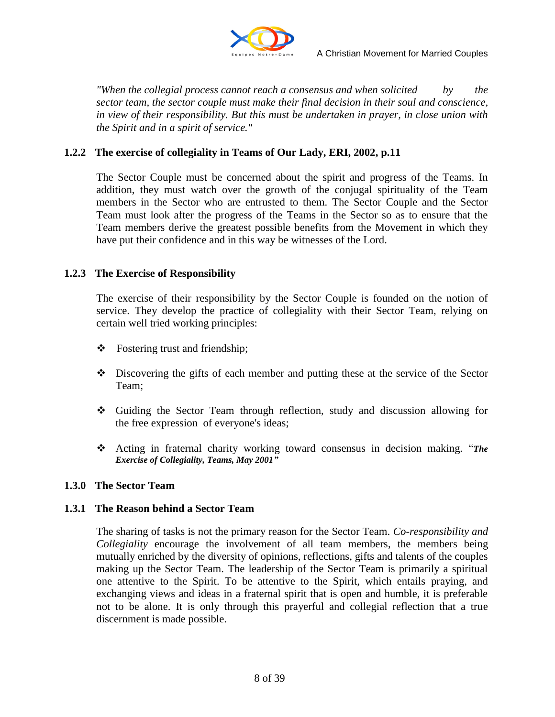

*"When the collegial process cannot reach a consensus and when solicited by the sector team, the sector couple must make their final decision in their soul and conscience, in view of their responsibility. But this must be undertaken in prayer, in close union with the Spirit and in a spirit of service."*

#### **1.2.2 The exercise of collegiality in Teams of Our Lady, ERI, 2002, p.11**

The Sector Couple must be concerned about the spirit and progress of the Teams. In addition, they must watch over the growth of the conjugal spirituality of the Team members in the Sector who are entrusted to them. The Sector Couple and the Sector Team must look after the progress of the Teams in the Sector so as to ensure that the Team members derive the greatest possible benefits from the Movement in which they have put their confidence and in this way be witnesses of the Lord.

#### **1.2.3 The Exercise of Responsibility**

The exercise of their responsibility by the Sector Couple is founded on the notion of service. They develop the practice of collegiality with their Sector Team, relying on certain well tried working principles:

- Fostering trust and friendship;
- Discovering the gifts of each member and putting these at the service of the Sector Team;
- Guiding the Sector Team through reflection, study and discussion allowing for the free expression of everyone's ideas;
- Acting in fraternal charity working toward consensus in decision making. "*The Exercise of Collegiality, Teams, May 2001"*

#### **1.3.0 The Sector Team**

#### **1.3.1 The Reason behind a Sector Team**

The sharing of tasks is not the primary reason for the Sector Team. *Co-responsibility and Collegiality* encourage the involvement of all team members, the members being mutually enriched by the diversity of opinions, reflections, gifts and talents of the couples making up the Sector Team. The leadership of the Sector Team is primarily a spiritual one attentive to the Spirit. To be attentive to the Spirit, which entails praying, and exchanging views and ideas in a fraternal spirit that is open and humble, it is preferable not to be alone. It is only through this prayerful and collegial reflection that a true discernment is made possible.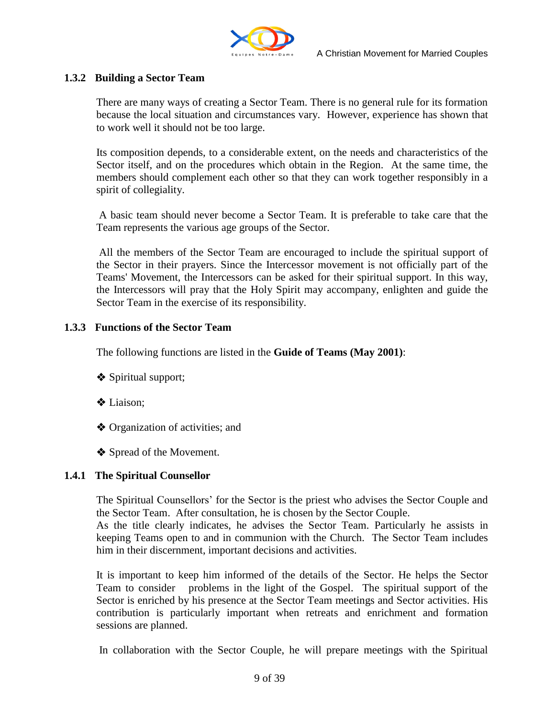

#### **1.3.2 Building a Sector Team**

There are many ways of creating a Sector Team. There is no general rule for its formation because the local situation and circumstances vary. However, experience has shown that to work well it should not be too large.

Its composition depends, to a considerable extent, on the needs and characteristics of the Sector itself, and on the procedures which obtain in the Region. At the same time, the members should complement each other so that they can work together responsibly in a spirit of collegiality.

A basic team should never become a Sector Team. It is preferable to take care that the Team represents the various age groups of the Sector.

All the members of the Sector Team are encouraged to include the spiritual support of the Sector in their prayers. Since the Intercessor movement is not officially part of the Teams' Movement, the Intercessors can be asked for their spiritual support. In this way, the Intercessors will pray that the Holy Spirit may accompany, enlighten and guide the Sector Team in the exercise of its responsibility.

#### **1.3.3 Functions of the Sector Team**

The following functions are listed in the **Guide of Teams (May 2001)**:

- Spiritual support;
- Liaison;
- ◆ Organization of activities; and
- Spread of the Movement.

#### **1.4.1 The Spiritual Counsellor**

The Spiritual Counsellors" for the Sector is the priest who advises the Sector Couple and the Sector Team. After consultation, he is chosen by the Sector Couple.

As the title clearly indicates, he advises the Sector Team. Particularly he assists in keeping Teams open to and in communion with the Church. The Sector Team includes him in their discernment, important decisions and activities.

It is important to keep him informed of the details of the Sector. He helps the Sector Team to consider problems in the light of the Gospel. The spiritual support of the Sector is enriched by his presence at the Sector Team meetings and Sector activities. His contribution is particularly important when retreats and enrichment and formation sessions are planned.

In collaboration with the Sector Couple, he will prepare meetings with the Spiritual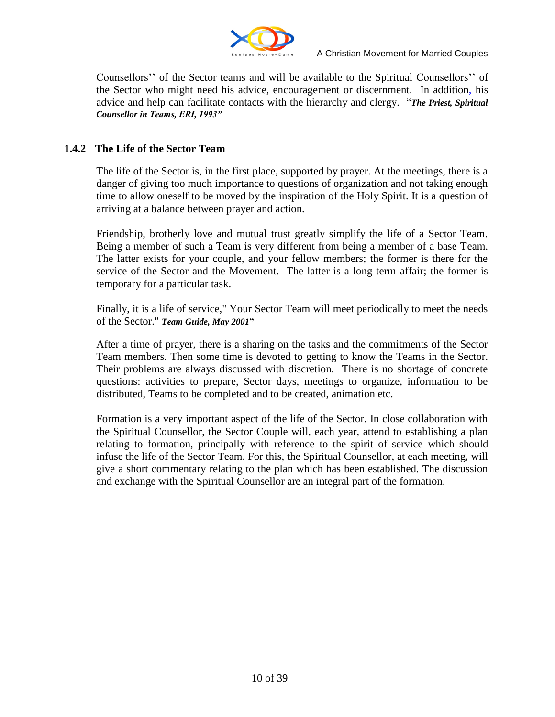

Counsellors"" of the Sector teams and will be available to the Spiritual Counsellors"" of the Sector who might need his advice, encouragement or discernment. In addition, his advice and help can facilitate contacts with the hierarchy and clergy. "*The Priest, Spiritual Counsellor in Teams, ERI, 1993"*

#### **1.4.2 The Life of the Sector Team**

The life of the Sector is, in the first place, supported by prayer. At the meetings, there is a danger of giving too much importance to questions of organization and not taking enough time to allow oneself to be moved by the inspiration of the Holy Spirit. It is a question of arriving at a balance between prayer and action.

Friendship, brotherly love and mutual trust greatly simplify the life of a Sector Team. Being a member of such a Team is very different from being a member of a base Team. The latter exists for your couple, and your fellow members; the former is there for the service of the Sector and the Movement. The latter is a long term affair; the former is temporary for a particular task.

Finally, it is a life of service," Your Sector Team will meet periodically to meet the needs of the Sector." *Team Guide, May 2001***"**

After a time of prayer, there is a sharing on the tasks and the commitments of the Sector Team members. Then some time is devoted to getting to know the Teams in the Sector. Their problems are always discussed with discretion. There is no shortage of concrete questions: activities to prepare, Sector days, meetings to organize, information to be distributed, Teams to be completed and to be created, animation etc.

Formation is a very important aspect of the life of the Sector. In close collaboration with the Spiritual Counsellor, the Sector Couple will, each year, attend to establishing a plan relating to formation, principally with reference to the spirit of service which should infuse the life of the Sector Team. For this, the Spiritual Counsellor, at each meeting, will give a short commentary relating to the plan which has been established. The discussion and exchange with the Spiritual Counsellor are an integral part of the formation.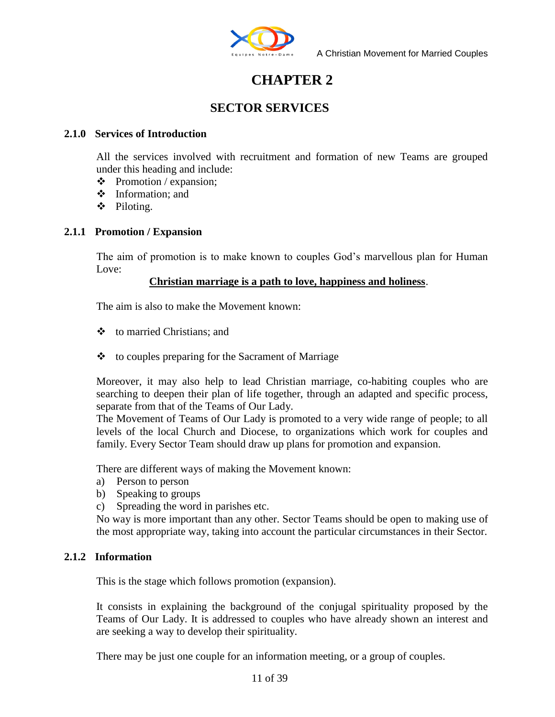

## **CHAPTER 2**

#### **SECTOR SERVICES**

#### **2.1.0 Services of Introduction**

All the services involved with recruitment and formation of new Teams are grouped under this heading and include:

- $\div$  Promotion / expansion:
- Information; and
- Piloting.

#### **2.1.1 Promotion / Expansion**

The aim of promotion is to make known to couples God's marvellous plan for Human Love:

#### **Christian marriage is a path to love, happiness and holiness**.

The aim is also to make the Movement known:

- to married Christians; and
- $\triangle$  to couples preparing for the Sacrament of Marriage

Moreover, it may also help to lead Christian marriage, co-habiting couples who are searching to deepen their plan of life together, through an adapted and specific process, separate from that of the Teams of Our Lady.

The Movement of Teams of Our Lady is promoted to a very wide range of people; to all levels of the local Church and Diocese, to organizations which work for couples and family. Every Sector Team should draw up plans for promotion and expansion.

There are different ways of making the Movement known:

- a) Person to person
- b) Speaking to groups
- c) Spreading the word in parishes etc.

No way is more important than any other. Sector Teams should be open to making use of the most appropriate way, taking into account the particular circumstances in their Sector.

#### **2.1.2 Information**

This is the stage which follows promotion (expansion).

It consists in explaining the background of the conjugal spirituality proposed by the Teams of Our Lady. It is addressed to couples who have already shown an interest and are seeking a way to develop their spirituality.

There may be just one couple for an information meeting, or a group of couples.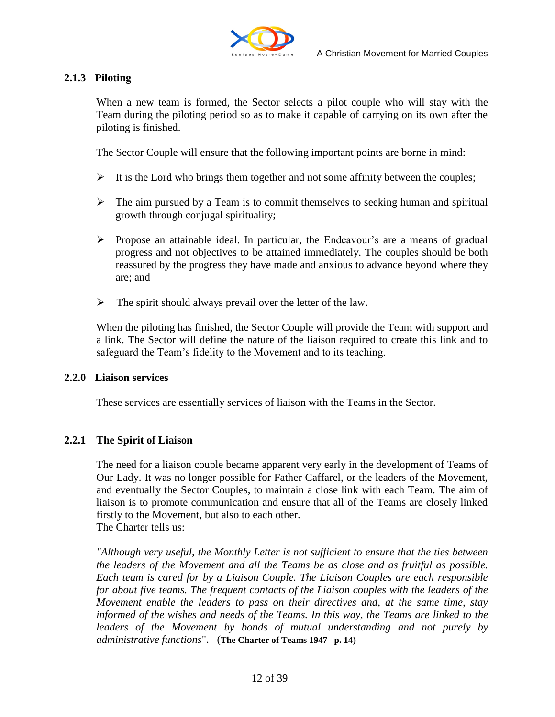

#### **2.1.3 Piloting**

When a new team is formed, the Sector selects a pilot couple who will stay with the Team during the piloting period so as to make it capable of carrying on its own after the piloting is finished.

The Sector Couple will ensure that the following important points are borne in mind:

- $\triangleright$  It is the Lord who brings them together and not some affinity between the couples;
- $\triangleright$  The aim pursued by a Team is to commit themselves to seeking human and spiritual growth through conjugal spirituality;
- $\triangleright$  Propose an attainable ideal. In particular, the Endeavour's are a means of gradual progress and not objectives to be attained immediately. The couples should be both reassured by the progress they have made and anxious to advance beyond where they are; and
- $\triangleright$  The spirit should always prevail over the letter of the law.

When the piloting has finished, the Sector Couple will provide the Team with support and a link. The Sector will define the nature of the liaison required to create this link and to safeguard the Team"s fidelity to the Movement and to its teaching.

#### **2.2.0 Liaison services**

These services are essentially services of liaison with the Teams in the Sector.

#### **2.2.1 The Spirit of Liaison**

The need for a liaison couple became apparent very early in the development of Teams of Our Lady. It was no longer possible for Father Caffarel, or the leaders of the Movement, and eventually the Sector Couples, to maintain a close link with each Team. The aim of liaison is to promote communication and ensure that all of the Teams are closely linked firstly to the Movement, but also to each other. The Charter tells us:

*"Although very useful, the Monthly Letter is not sufficient to ensure that the ties between the leaders of the Movement and all the Teams be as close and as fruitful as possible. Each team is cared for by a Liaison Couple. The Liaison Couples are each responsible for about five teams. The frequent contacts of the Liaison couples with the leaders of the Movement enable the leaders to pass on their directives and, at the same time, stay informed of the wishes and needs of the Teams. In this way, the Teams are linked to the leaders of the Movement by bonds of mutual understanding and not purely by administrative functions*". (**The Charter of Teams 1947 p. 14)**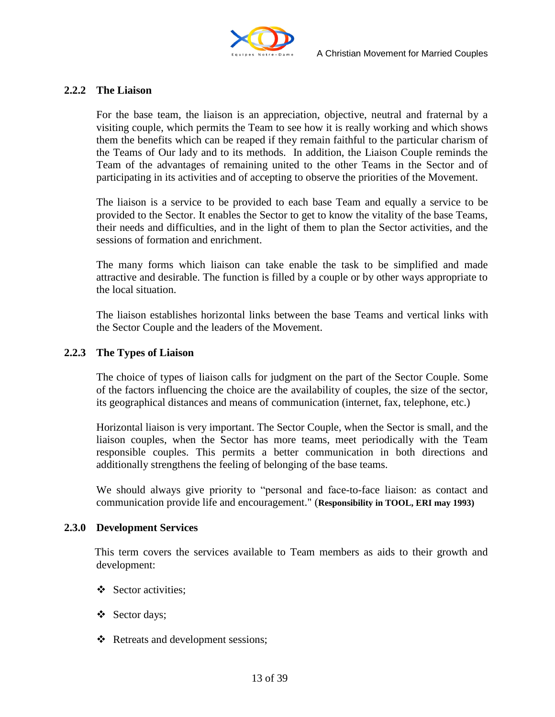

#### **2.2.2 The Liaison**

For the base team, the liaison is an appreciation, objective, neutral and fraternal by a visiting couple, which permits the Team to see how it is really working and which shows them the benefits which can be reaped if they remain faithful to the particular charism of the Teams of Our lady and to its methods. In addition, the Liaison Couple reminds the Team of the advantages of remaining united to the other Teams in the Sector and of participating in its activities and of accepting to observe the priorities of the Movement.

The liaison is a service to be provided to each base Team and equally a service to be provided to the Sector. It enables the Sector to get to know the vitality of the base Teams, their needs and difficulties, and in the light of them to plan the Sector activities, and the sessions of formation and enrichment.

The many forms which liaison can take enable the task to be simplified and made attractive and desirable. The function is filled by a couple or by other ways appropriate to the local situation.

The liaison establishes horizontal links between the base Teams and vertical links with the Sector Couple and the leaders of the Movement.

#### **2.2.3 The Types of Liaison**

The choice of types of liaison calls for judgment on the part of the Sector Couple. Some of the factors influencing the choice are the availability of couples, the size of the sector, its geographical distances and means of communication (internet, fax, telephone, etc.)

Horizontal liaison is very important. The Sector Couple, when the Sector is small, and the liaison couples, when the Sector has more teams, meet periodically with the Team responsible couples. This permits a better communication in both directions and additionally strengthens the feeling of belonging of the base teams.

We should always give priority to "personal and face-to-face liaison: as contact and communication provide life and encouragement." (**Responsibility in TOOL, ERI may 1993)**

#### **2.3.0 Development Services**

 This term covers the services available to Team members as aids to their growth and development:

- Sector activities:
- Sector days;
- ❖ Retreats and development sessions;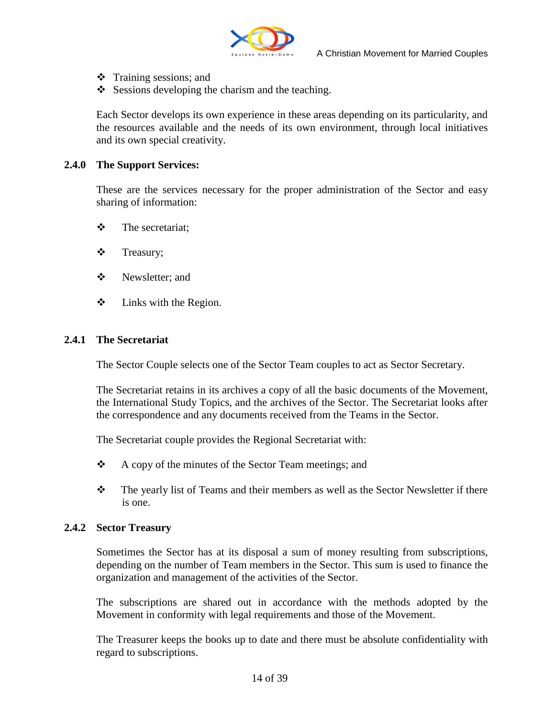

- $\div$  Training sessions; and
- $\div$  Sessions developing the charism and the teaching.

Each Sector develops its own experience in these areas depending on its particularity, and the resources available and the needs of its own environment, through local initiatives and its own special creativity.

#### **2.4.0 The Support Services:**

These are the services necessary for the proper administration of the Sector and easy sharing of information:

- $\mathbf{\hat{\cdot}}$  The secretariat:
- Treasury;
- ❖ Newsletter: and
- $\triangleleft$  Links with the Region.

#### **2.4.1 The Secretariat**

The Sector Couple selects one of the Sector Team couples to act as Sector Secretary.

The Secretariat retains in its archives a copy of all the basic documents of the Movement, the International Study Topics, and the archives of the Sector. The Secretariat looks after the correspondence and any documents received from the Teams in the Sector.

The Secretariat couple provides the Regional Secretariat with:

- $\triangle$  A copy of the minutes of the Sector Team meetings; and
- \* The yearly list of Teams and their members as well as the Sector Newsletter if there is one.

#### **2.4.2 Sector Treasury**

Sometimes the Sector has at its disposal a sum of money resulting from subscriptions, depending on the number of Team members in the Sector. This sum is used to finance the organization and management of the activities of the Sector.

The subscriptions are shared out in accordance with the methods adopted by the Movement in conformity with legal requirements and those of the Movement.

The Treasurer keeps the books up to date and there must be absolute confidentiality with regard to subscriptions.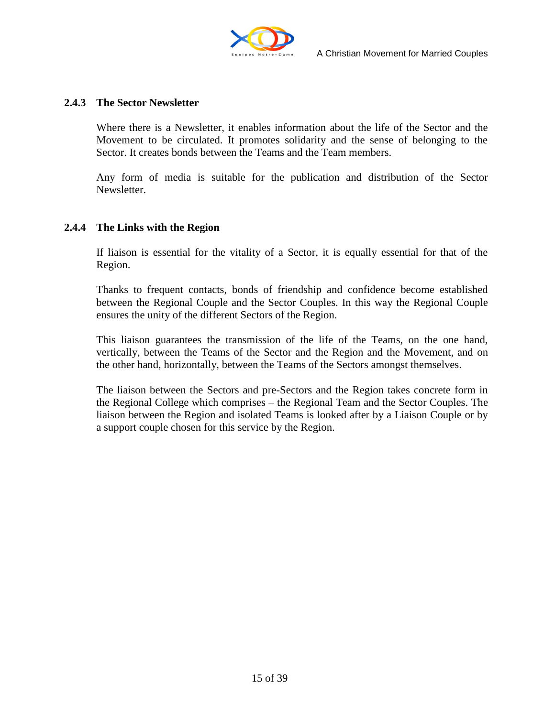

#### **2.4.3 The Sector Newsletter**

Where there is a Newsletter, it enables information about the life of the Sector and the Movement to be circulated. It promotes solidarity and the sense of belonging to the Sector. It creates bonds between the Teams and the Team members.

Any form of media is suitable for the publication and distribution of the Sector Newsletter.

#### **2.4.4 The Links with the Region**

If liaison is essential for the vitality of a Sector, it is equally essential for that of the Region.

Thanks to frequent contacts, bonds of friendship and confidence become established between the Regional Couple and the Sector Couples. In this way the Regional Couple ensures the unity of the different Sectors of the Region.

This liaison guarantees the transmission of the life of the Teams, on the one hand, vertically, between the Teams of the Sector and the Region and the Movement, and on the other hand, horizontally, between the Teams of the Sectors amongst themselves.

The liaison between the Sectors and pre-Sectors and the Region takes concrete form in the Regional College which comprises – the Regional Team and the Sector Couples. The liaison between the Region and isolated Teams is looked after by a Liaison Couple or by a support couple chosen for this service by the Region.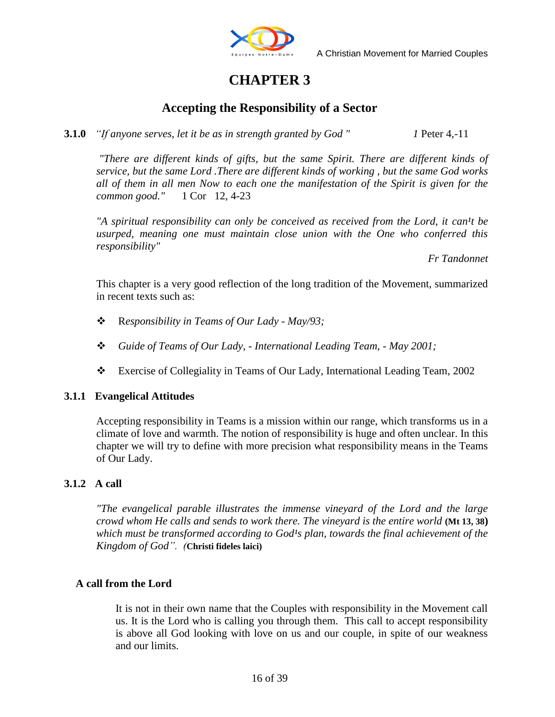

## **CHAPTER 3**

#### **Accepting the Responsibility of a Sector**

**3.1.0** *"If anyone serves, let it be as in strength granted by God " 1* Peter 4,-11

*"There are different kinds of gifts, but the same Spirit. There are different kinds of service, but the same Lord .There are different kinds of working , but the same God works all of them in all men Now to each one the manifestation of the Spirit is given for the common good."* 1 Cor 12, 4-23

"A spiritual responsibility can only be conceived as received from the Lord, it can<sup>1</sup>t be *usurped, meaning one must maintain close union with the One who conferred this responsibility"*

*Fr Tandonnet*

This chapter is a very good reflection of the long tradition of the Movement, summarized in recent texts such as:

- R*esponsibility in Teams of Our Lady - May/93;*
- *Guide of Teams of Our Lady, - International Leading Team, - May 2001;*
- Exercise of Collegiality in Teams of Our Lady, International Leading Team, 2002

#### **3.1.1 Evangelical Attitudes**

Accepting responsibility in Teams is a mission within our range, which transforms us in a climate of love and warmth. The notion of responsibility is huge and often unclear. In this chapter we will try to define with more precision what responsibility means in the Teams of Our Lady.

#### **3.1.2 A call**

*"The evangelical parable illustrates the immense vineyard of the Lord and the large crowd whom He calls and sends to work there. The vineyard is the entire world* **(Mt 13, 38)** *which must be transformed according to God<sup>1</sup>s plan, towards the final achievement of the Kingdom of God". (***Christi fideles laici)**

#### **A call from the Lord**

It is not in their own name that the Couples with responsibility in the Movement call us. It is the Lord who is calling you through them. This call to accept responsibility is above all God looking with love on us and our couple, in spite of our weakness and our limits.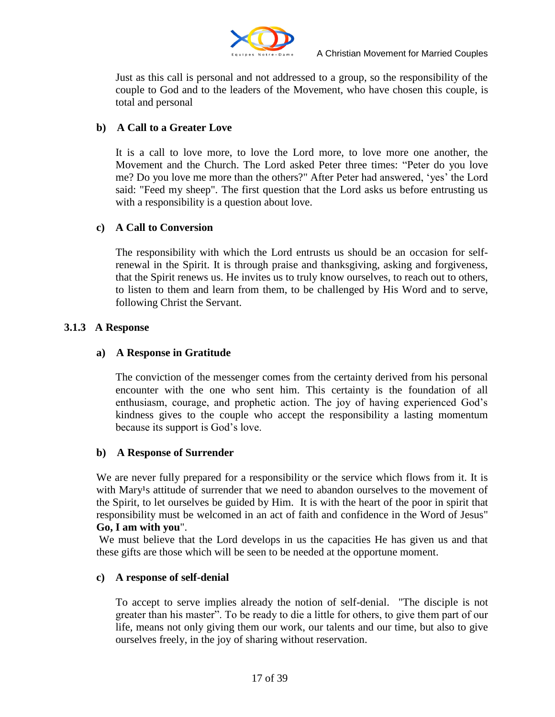

Just as this call is personal and not addressed to a group, so the responsibility of the couple to God and to the leaders of the Movement, who have chosen this couple, is total and personal

#### **b) A Call to a Greater Love**

It is a call to love more, to love the Lord more, to love more one another, the Movement and the Church. The Lord asked Peter three times: "Peter do you love me? Do you love me more than the others?" After Peter had answered, "yes" the Lord said: "Feed my sheep". The first question that the Lord asks us before entrusting us with a responsibility is a question about love.

#### **c) A Call to Conversion**

The responsibility with which the Lord entrusts us should be an occasion for selfrenewal in the Spirit. It is through praise and thanksgiving, asking and forgiveness, that the Spirit renews us. He invites us to truly know ourselves, to reach out to others, to listen to them and learn from them, to be challenged by His Word and to serve, following Christ the Servant.

#### **3.1.3 A Response**

#### **a) A Response in Gratitude**

The conviction of the messenger comes from the certainty derived from his personal encounter with the one who sent him. This certainty is the foundation of all enthusiasm, courage, and prophetic action. The joy of having experienced God"s kindness gives to the couple who accept the responsibility a lasting momentum because its support is God"s love.

#### **b) A Response of Surrender**

We are never fully prepared for a responsibility or the service which flows from it. It is with Mary<sup>1</sup>s attitude of surrender that we need to abandon ourselves to the movement of the Spirit, to let ourselves be guided by Him. It is with the heart of the poor in spirit that responsibility must be welcomed in an act of faith and confidence in the Word of Jesus" **Go, I am with you**".

We must believe that the Lord develops in us the capacities He has given us and that these gifts are those which will be seen to be needed at the opportune moment.

#### **c) A response of self-denial**

To accept to serve implies already the notion of self-denial. "The disciple is not greater than his master". To be ready to die a little for others, to give them part of our life, means not only giving them our work, our talents and our time, but also to give ourselves freely, in the joy of sharing without reservation.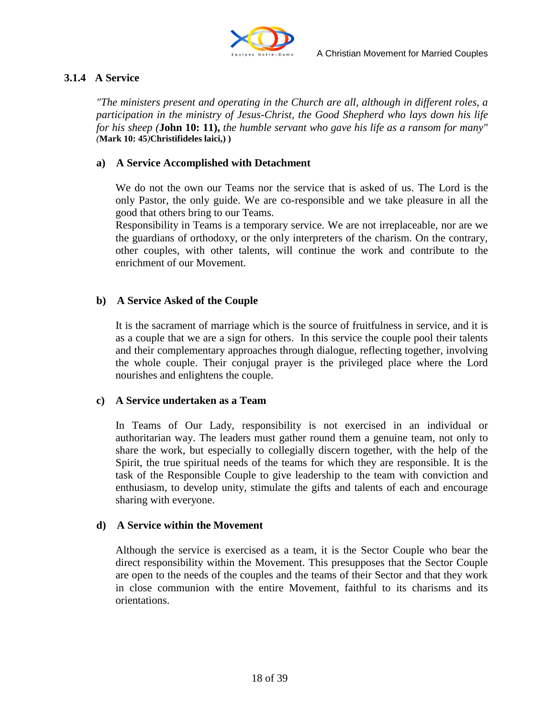

#### **3.1.4 A Service**

*"The ministers present and operating in the Church are all, although in different roles, a participation in the ministry of Jesus-Christ, the Good Shepherd who lays down his life for his sheep (***John 10: 11),** *the humble servant who gave his life as a ransom for many" (***Mark 10: 45***)***Christifideles laici,) )**

#### **a) A Service Accomplished with Detachment**

We do not the own our Teams nor the service that is asked of us. The Lord is the only Pastor, the only guide. We are co-responsible and we take pleasure in all the good that others bring to our Teams.

Responsibility in Teams is a temporary service. We are not irreplaceable, nor are we the guardians of orthodoxy, or the only interpreters of the charism. On the contrary, other couples, with other talents, will continue the work and contribute to the enrichment of our Movement.

#### **b) A Service Asked of the Couple**

It is the sacrament of marriage which is the source of fruitfulness in service, and it is as a couple that we are a sign for others. In this service the couple pool their talents and their complementary approaches through dialogue, reflecting together, involving the whole couple. Their conjugal prayer is the privileged place where the Lord nourishes and enlightens the couple.

#### **c) A Service undertaken as a Team**

In Teams of Our Lady, responsibility is not exercised in an individual or authoritarian way. The leaders must gather round them a genuine team, not only to share the work, but especially to collegially discern together, with the help of the Spirit, the true spiritual needs of the teams for which they are responsible. It is the task of the Responsible Couple to give leadership to the team with conviction and enthusiasm, to develop unity, stimulate the gifts and talents of each and encourage sharing with everyone.

#### **d) A Service within the Movement**

Although the service is exercised as a team, it is the Sector Couple who bear the direct responsibility within the Movement. This presupposes that the Sector Couple are open to the needs of the couples and the teams of their Sector and that they work in close communion with the entire Movement, faithful to its charisms and its orientations.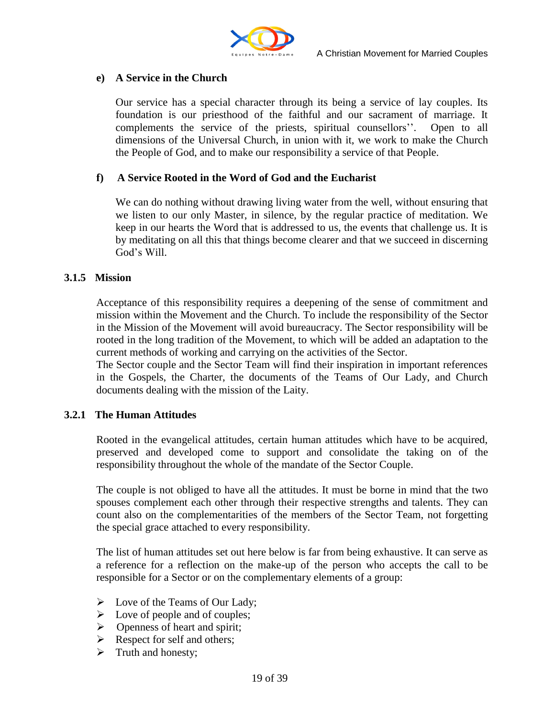

#### **e) A Service in the Church**

Our service has a special character through its being a service of lay couples. Its foundation is our priesthood of the faithful and our sacrament of marriage. It complements the service of the priests, spiritual counsellors". Open to all dimensions of the Universal Church, in union with it, we work to make the Church the People of God, and to make our responsibility a service of that People.

#### **f) A Service Rooted in the Word of God and the Eucharist**

We can do nothing without drawing living water from the well, without ensuring that we listen to our only Master, in silence, by the regular practice of meditation. We keep in our hearts the Word that is addressed to us, the events that challenge us. It is by meditating on all this that things become clearer and that we succeed in discerning God"s Will.

#### **3.1.5 Mission**

Acceptance of this responsibility requires a deepening of the sense of commitment and mission within the Movement and the Church. To include the responsibility of the Sector in the Mission of the Movement will avoid bureaucracy. The Sector responsibility will be rooted in the long tradition of the Movement, to which will be added an adaptation to the current methods of working and carrying on the activities of the Sector.

The Sector couple and the Sector Team will find their inspiration in important references in the Gospels, the Charter, the documents of the Teams of Our Lady, and Church documents dealing with the mission of the Laity.

#### **3.2.1 The Human Attitudes**

Rooted in the evangelical attitudes, certain human attitudes which have to be acquired, preserved and developed come to support and consolidate the taking on of the responsibility throughout the whole of the mandate of the Sector Couple.

The couple is not obliged to have all the attitudes. It must be borne in mind that the two spouses complement each other through their respective strengths and talents. They can count also on the complementarities of the members of the Sector Team, not forgetting the special grace attached to every responsibility.

The list of human attitudes set out here below is far from being exhaustive. It can serve as a reference for a reflection on the make-up of the person who accepts the call to be responsible for a Sector or on the complementary elements of a group:

- $\triangleright$  Love of the Teams of Our Lady;
- $\triangleright$  Love of people and of couples;
- $\triangleright$  Openness of heart and spirit;
- $\triangleright$  Respect for self and others;
- $\triangleright$  Truth and honesty;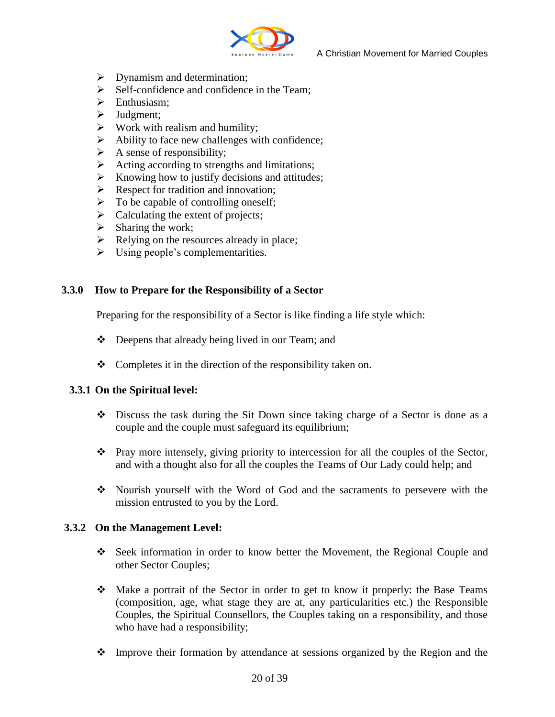

- $\triangleright$  Dynamism and determination;
- $\triangleright$  Self-confidence and confidence in the Team;
- $\triangleright$  Enthusiasm:
- $\blacktriangleright$  Judgment;
- $\triangleright$  Work with realism and humility;
- $\triangleright$  Ability to face new challenges with confidence;
- $\triangleright$  A sense of responsibility;
- $\triangleright$  Acting according to strengths and limitations;
- $\triangleright$  Knowing how to justify decisions and attitudes;
- $\triangleright$  Respect for tradition and innovation:
- $\triangleright$  To be capable of controlling oneself;
- $\triangleright$  Calculating the extent of projects;
- $\triangleright$  Sharing the work;
- $\triangleright$  Relying on the resources already in place;
- $\triangleright$  Using people's complementarities.

#### **3.3.0 How to Prepare for the Responsibility of a Sector**

Preparing for the responsibility of a Sector is like finding a life style which:

- Deepens that already being lived in our Team; and
- $\bullet$  Completes it in the direction of the responsibility taken on.

#### **3.3.1 On the Spiritual level:**

- $\div$  Discuss the task during the Sit Down since taking charge of a Sector is done as a couple and the couple must safeguard its equilibrium;
- $\cdot \cdot$  Pray more intensely, giving priority to intercession for all the couples of the Sector, and with a thought also for all the couples the Teams of Our Lady could help; and
- Nourish yourself with the Word of God and the sacraments to persevere with the mission entrusted to you by the Lord.

#### **3.3.2 On the Management Level:**

- Seek information in order to know better the Movement, the Regional Couple and other Sector Couples;
- Make a portrait of the Sector in order to get to know it properly: the Base Teams (composition, age, what stage they are at, any particularities etc.) the Responsible Couples, the Spiritual Counsellors, the Couples taking on a responsibility, and those who have had a responsibility;
- Improve their formation by attendance at sessions organized by the Region and the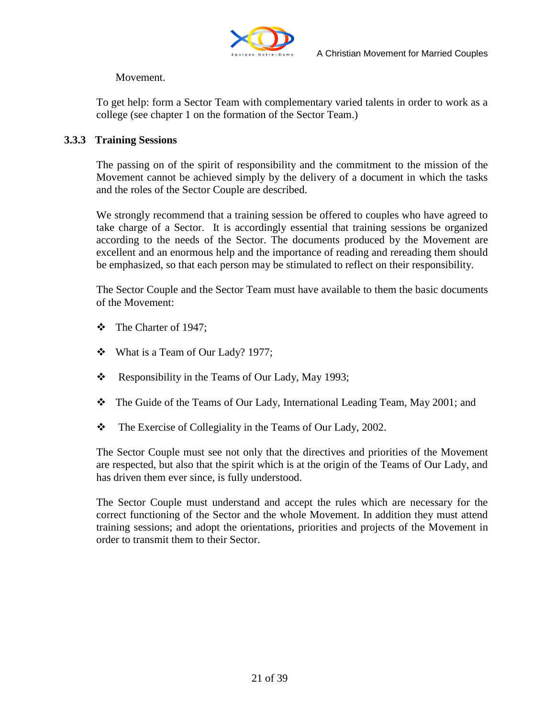

#### Movement.

To get help: form a Sector Team with complementary varied talents in order to work as a college (see chapter 1 on the formation of the Sector Team.)

#### **3.3.3 Training Sessions**

The passing on of the spirit of responsibility and the commitment to the mission of the Movement cannot be achieved simply by the delivery of a document in which the tasks and the roles of the Sector Couple are described.

We strongly recommend that a training session be offered to couples who have agreed to take charge of a Sector. It is accordingly essential that training sessions be organized according to the needs of the Sector. The documents produced by the Movement are excellent and an enormous help and the importance of reading and rereading them should be emphasized, so that each person may be stimulated to reflect on their responsibility.

The Sector Couple and the Sector Team must have available to them the basic documents of the Movement:

- The Charter of 1947;
- What is a Team of Our Lady? 1977;
- $\triangleleft$  Responsibility in the Teams of Our Lady, May 1993;
- \* The Guide of the Teams of Our Lady, International Leading Team, May 2001; and
- The Exercise of Collegiality in the Teams of Our Lady, 2002.

The Sector Couple must see not only that the directives and priorities of the Movement are respected, but also that the spirit which is at the origin of the Teams of Our Lady, and has driven them ever since, is fully understood.

The Sector Couple must understand and accept the rules which are necessary for the correct functioning of the Sector and the whole Movement. In addition they must attend training sessions; and adopt the orientations, priorities and projects of the Movement in order to transmit them to their Sector.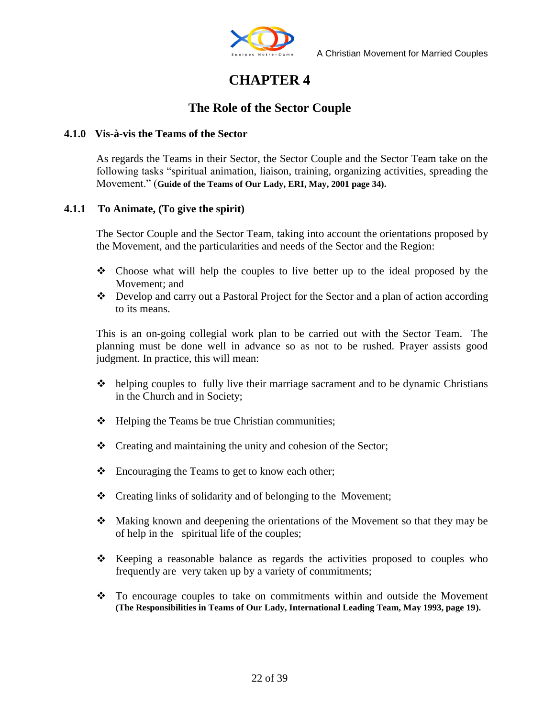

## **CHAPTER 4**

#### **The Role of the Sector Couple**

#### **4.1.0 Vis-à-vis the Teams of the Sector**

As regards the Teams in their Sector, the Sector Couple and the Sector Team take on the following tasks "spiritual animation, liaison, training, organizing activities, spreading the Movement." (**Guide of the Teams of Our Lady, ERI, May, 2001 page 34).**

#### **4.1.1 To Animate, (To give the spirit)**

The Sector Couple and the Sector Team, taking into account the orientations proposed by the Movement, and the particularities and needs of the Sector and the Region:

- $\div$  Choose what will help the couples to live better up to the ideal proposed by the Movement; and
- $\bullet$  Develop and carry out a Pastoral Project for the Sector and a plan of action according to its means.

This is an on-going collegial work plan to be carried out with the Sector Team. The planning must be done well in advance so as not to be rushed. Prayer assists good judgment. In practice, this will mean:

- $\triangle$  helping couples to fully live their marriage sacrament and to be dynamic Christians in the Church and in Society;
- $\triangleleft$  Helping the Teams be true Christian communities;
- $\triangle$  Creating and maintaining the unity and cohesion of the Sector;
- ❖ Encouraging the Teams to get to know each other;
- Creating links of solidarity and of belonging to the Movement;
- Making known and deepening the orientations of the Movement so that they may be of help in the spiritual life of the couples;
- $\div$  Keeping a reasonable balance as regards the activities proposed to couples who frequently are very taken up by a variety of commitments;
- To encourage couples to take on commitments within and outside the Movement **(The Responsibilities in Teams of Our Lady, International Leading Team, May 1993, page 19).**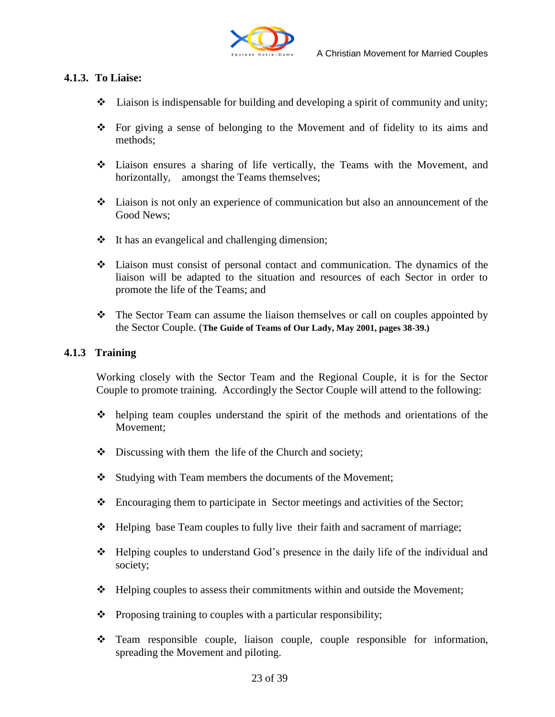

#### **4.1.3. To Liaise:**

- $\bullet$  Liaison is indispensable for building and developing a spirit of community and unity;
- For giving a sense of belonging to the Movement and of fidelity to its aims and methods;
- Liaison ensures a sharing of life vertically, the Teams with the Movement, and horizontally, amongst the Teams themselves;
- Liaison is not only an experience of communication but also an announcement of the Good News;
- $\cdot \cdot$  It has an evangelical and challenging dimension;
- Liaison must consist of personal contact and communication. The dynamics of the liaison will be adapted to the situation and resources of each Sector in order to promote the life of the Teams; and
- \* The Sector Team can assume the liaison themselves or call on couples appointed by the Sector Couple. (**The Guide of Teams of Our Lady, May 2001, pages 38-39.)**

#### **4.1.3 Training**

Working closely with the Sector Team and the Regional Couple, it is for the Sector Couple to promote training. Accordingly the Sector Couple will attend to the following:

- $\triangle$  helping team couples understand the spirit of the methods and orientations of the Movement;
- $\bullet$  Discussing with them the life of the Church and society;
- Studying with Team members the documents of the Movement;
- Encouraging them to participate in Sector meetings and activities of the Sector;
- Helping base Team couples to fully live their faith and sacrament of marriage;
- \* Helping couples to understand God's presence in the daily life of the individual and society;
- $\div$  Helping couples to assess their commitments within and outside the Movement;
- $\triangleleft$  Proposing training to couples with a particular responsibility;
- Team responsible couple, liaison couple, couple responsible for information, spreading the Movement and piloting.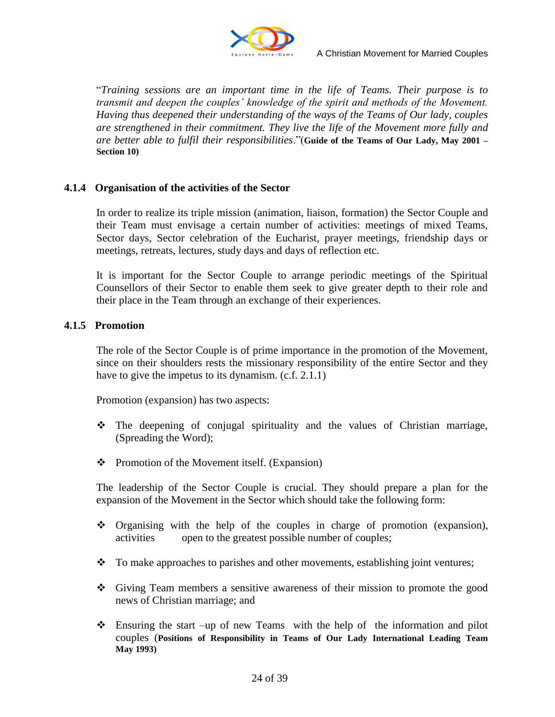

"*Training sessions are an important time in the life of Teams. Their purpose is to transmit and deepen the couples" knowledge of the spirit and methods of the Movement. Having thus deepened their understanding of the ways of the Teams of Our lady, couples are strengthened in their commitment. They live the life of the Movement more fully and are better able to fulfil their responsibilities*."(**Guide of the Teams of Our Lady, May 2001 – Section 10)**

#### **4.1.4 Organisation of the activities of the Sector**

In order to realize its triple mission (animation, liaison, formation) the Sector Couple and their Team must envisage a certain number of activities: meetings of mixed Teams, Sector days, Sector celebration of the Eucharist, prayer meetings, friendship days or meetings, retreats, lectures, study days and days of reflection etc.

It is important for the Sector Couple to arrange periodic meetings of the Spiritual Counsellors of their Sector to enable them seek to give greater depth to their role and their place in the Team through an exchange of their experiences.

#### **4.1.5 Promotion**

The role of the Sector Couple is of prime importance in the promotion of the Movement, since on their shoulders rests the missionary responsibility of the entire Sector and they have to give the impetus to its dynamism. (c.f. 2.1.1)

Promotion (expansion) has two aspects:

- $\hat{\cdot}$  The deepening of conjugal spirituality and the values of Christian marriage, (Spreading the Word);
- $\bullet$  Promotion of the Movement itself. (Expansion)

The leadership of the Sector Couple is crucial. They should prepare a plan for the expansion of the Movement in the Sector which should take the following form:

- $\bullet$  Organising with the help of the couples in charge of promotion (expansion), activities open to the greatest possible number of couples;
- \* To make approaches to parishes and other movements, establishing joint ventures;
- Giving Team members a sensitive awareness of their mission to promote the good news of Christian marriage; and
- Ensuring the start –up of new Teams with the help of the information and pilot couples (**Positions of Responsibility in Teams of Our Lady International Leading Team May 1993)**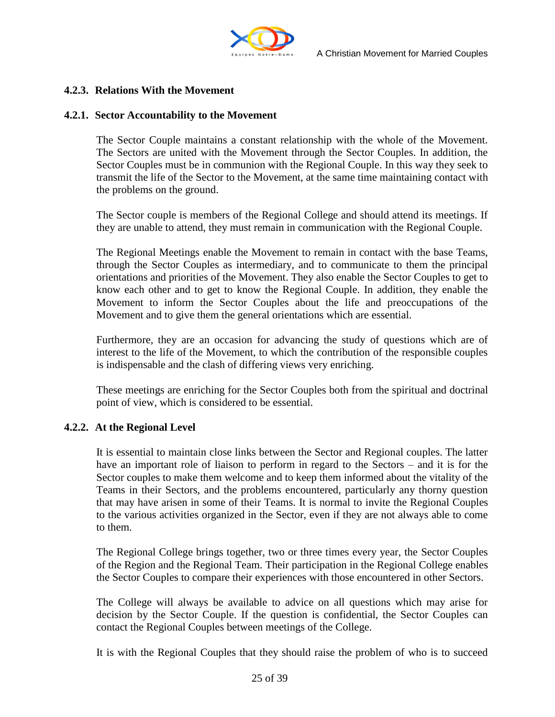

#### **4.2.3. Relations With the Movement**

#### **4.2.1. Sector Accountability to the Movement**

The Sector Couple maintains a constant relationship with the whole of the Movement. The Sectors are united with the Movement through the Sector Couples. In addition, the Sector Couples must be in communion with the Regional Couple. In this way they seek to transmit the life of the Sector to the Movement, at the same time maintaining contact with the problems on the ground.

The Sector couple is members of the Regional College and should attend its meetings. If they are unable to attend, they must remain in communication with the Regional Couple.

The Regional Meetings enable the Movement to remain in contact with the base Teams, through the Sector Couples as intermediary, and to communicate to them the principal orientations and priorities of the Movement. They also enable the Sector Couples to get to know each other and to get to know the Regional Couple. In addition, they enable the Movement to inform the Sector Couples about the life and preoccupations of the Movement and to give them the general orientations which are essential.

Furthermore, they are an occasion for advancing the study of questions which are of interest to the life of the Movement, to which the contribution of the responsible couples is indispensable and the clash of differing views very enriching.

These meetings are enriching for the Sector Couples both from the spiritual and doctrinal point of view, which is considered to be essential.

#### **4.2.2. At the Regional Level**

It is essential to maintain close links between the Sector and Regional couples. The latter have an important role of liaison to perform in regard to the Sectors – and it is for the Sector couples to make them welcome and to keep them informed about the vitality of the Teams in their Sectors, and the problems encountered, particularly any thorny question that may have arisen in some of their Teams. It is normal to invite the Regional Couples to the various activities organized in the Sector, even if they are not always able to come to them.

The Regional College brings together, two or three times every year, the Sector Couples of the Region and the Regional Team. Their participation in the Regional College enables the Sector Couples to compare their experiences with those encountered in other Sectors.

The College will always be available to advice on all questions which may arise for decision by the Sector Couple. If the question is confidential, the Sector Couples can contact the Regional Couples between meetings of the College.

It is with the Regional Couples that they should raise the problem of who is to succeed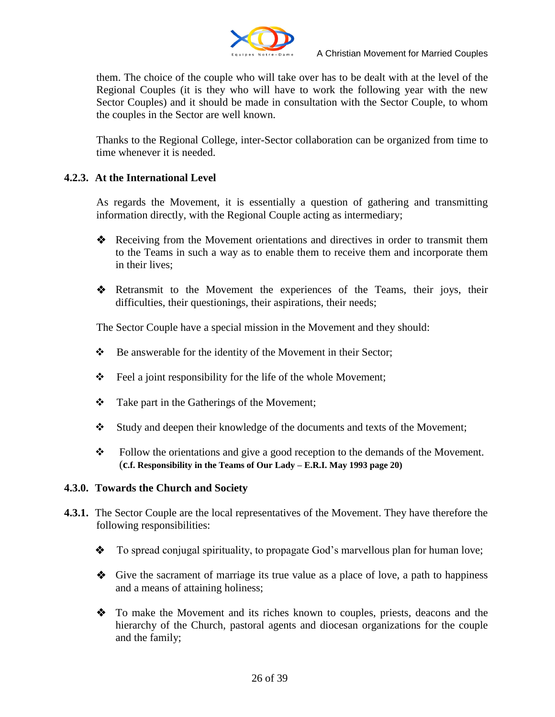

them. The choice of the couple who will take over has to be dealt with at the level of the Regional Couples (it is they who will have to work the following year with the new Sector Couples) and it should be made in consultation with the Sector Couple, to whom the couples in the Sector are well known.

Thanks to the Regional College, inter-Sector collaboration can be organized from time to time whenever it is needed.

#### **4.2.3. At the International Level**

As regards the Movement, it is essentially a question of gathering and transmitting information directly, with the Regional Couple acting as intermediary;

- ◆ Receiving from the Movement orientations and directives in order to transmit them to the Teams in such a way as to enable them to receive them and incorporate them in their lives;
- Retransmit to the Movement the experiences of the Teams, their joys, their difficulties, their questionings, their aspirations, their needs;

The Sector Couple have a special mission in the Movement and they should:

- Be answerable for the identity of the Movement in their Sector;
- Feel a joint responsibility for the life of the whole Movement;
- Take part in the Gatherings of the Movement;
- Study and deepen their knowledge of the documents and texts of the Movement;
- Follow the orientations and give a good reception to the demands of the Movement. (**c.f. Responsibility in the Teams of Our Lady – E.R.I. May 1993 page 20)**

#### **4.3.0. Towards the Church and Society**

- **4.3.1.** The Sector Couple are the local representatives of the Movement. They have therefore the following responsibilities:
	- To spread conjugal spirituality, to propagate God's marvellous plan for human love;
	- $\bullet$  Give the sacrament of marriage its true value as a place of love, a path to happiness and a means of attaining holiness;
	- To make the Movement and its riches known to couples, priests, deacons and the hierarchy of the Church, pastoral agents and diocesan organizations for the couple and the family;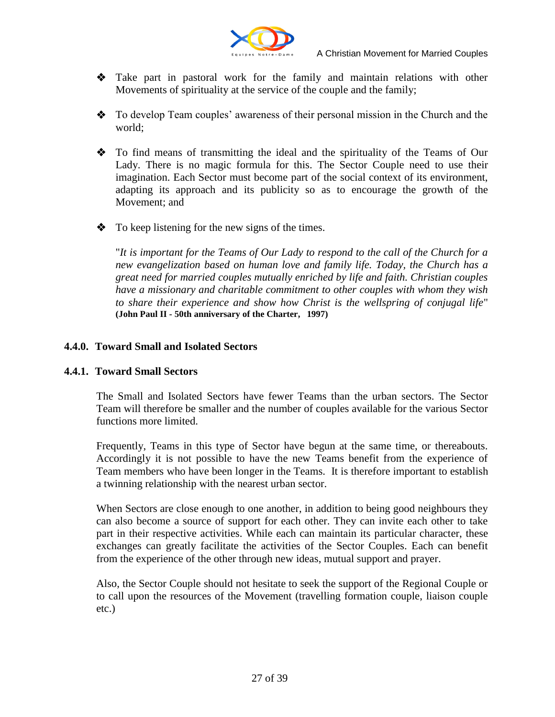

- Take part in pastoral work for the family and maintain relations with other Movements of spirituality at the service of the couple and the family;
- \* To develop Team couples' awareness of their personal mission in the Church and the world;
- To find means of transmitting the ideal and the spirituality of the Teams of Our Lady. There is no magic formula for this. The Sector Couple need to use their imagination. Each Sector must become part of the social context of its environment, adapting its approach and its publicity so as to encourage the growth of the Movement; and
- To keep listening for the new signs of the times.

"*It is important for the Teams of Our Lady to respond to the call of the Church for a new evangelization based on human love and family life. Today, the Church has a great need for married couples mutually enriched by life and faith. Christian couples have a missionary and charitable commitment to other couples with whom they wish to share their experience and show how Christ is the wellspring of conjugal life*" **(John Paul II - 50th anniversary of the Charter, 1997)**

#### **4.4.0. Toward Small and Isolated Sectors**

#### **4.4.1. Toward Small Sectors**

The Small and Isolated Sectors have fewer Teams than the urban sectors. The Sector Team will therefore be smaller and the number of couples available for the various Sector functions more limited.

Frequently, Teams in this type of Sector have begun at the same time, or thereabouts. Accordingly it is not possible to have the new Teams benefit from the experience of Team members who have been longer in the Teams. It is therefore important to establish a twinning relationship with the nearest urban sector.

When Sectors are close enough to one another, in addition to being good neighbours they can also become a source of support for each other. They can invite each other to take part in their respective activities. While each can maintain its particular character, these exchanges can greatly facilitate the activities of the Sector Couples. Each can benefit from the experience of the other through new ideas, mutual support and prayer.

Also, the Sector Couple should not hesitate to seek the support of the Regional Couple or to call upon the resources of the Movement (travelling formation couple, liaison couple etc.)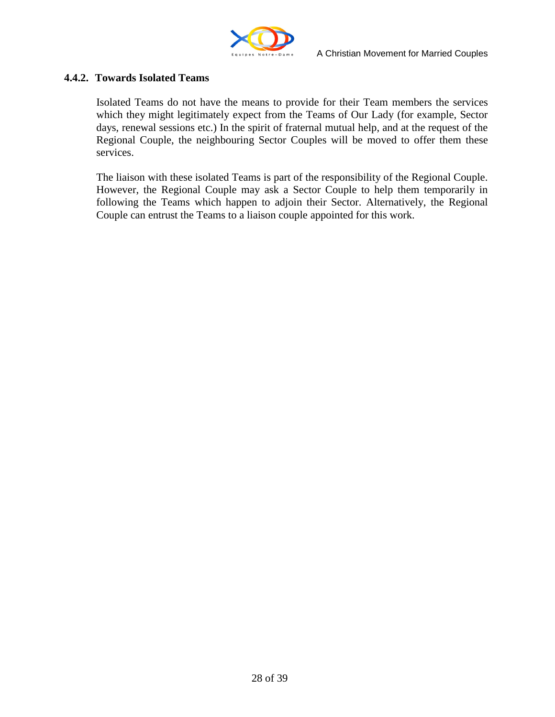

#### **4.4.2. Towards Isolated Teams**

Isolated Teams do not have the means to provide for their Team members the services which they might legitimately expect from the Teams of Our Lady (for example, Sector days, renewal sessions etc.) In the spirit of fraternal mutual help, and at the request of the Regional Couple, the neighbouring Sector Couples will be moved to offer them these services.

The liaison with these isolated Teams is part of the responsibility of the Regional Couple. However, the Regional Couple may ask a Sector Couple to help them temporarily in following the Teams which happen to adjoin their Sector. Alternatively, the Regional Couple can entrust the Teams to a liaison couple appointed for this work.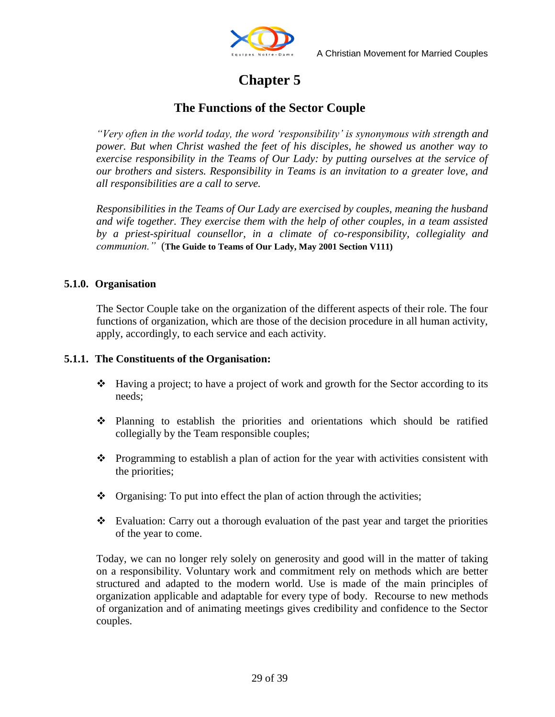

## **Chapter 5**

#### **The Functions of the Sector Couple**

*"Very often in the world today, the word "responsibility" is synonymous with strength and power. But when Christ washed the feet of his disciples, he showed us another way to exercise responsibility in the Teams of Our Lady: by putting ourselves at the service of our brothers and sisters. Responsibility in Teams is an invitation to a greater love, and all responsibilities are a call to serve.* 

*Responsibilities in the Teams of Our Lady are exercised by couples, meaning the husband and wife together. They exercise them with the help of other couples, in a team assisted by a priest-spiritual counsellor, in a climate of co-responsibility, collegiality and communion."* (**The Guide to Teams of Our Lady, May 2001 Section V111)**

#### **5.1.0. Organisation**

The Sector Couple take on the organization of the different aspects of their role. The four functions of organization, which are those of the decision procedure in all human activity, apply, accordingly, to each service and each activity.

#### **5.1.1. The Constituents of the Organisation:**

- $\triangleleft$  Having a project; to have a project of work and growth for the Sector according to its needs;
- Planning to establish the priorities and orientations which should be ratified collegially by the Team responsible couples;
- $\bullet$  Programming to establish a plan of action for the year with activities consistent with the priorities;
- $\bullet$  Organising: To put into effect the plan of action through the activities;
- \* Evaluation: Carry out a thorough evaluation of the past year and target the priorities of the year to come.

Today, we can no longer rely solely on generosity and good will in the matter of taking on a responsibility. Voluntary work and commitment rely on methods which are better structured and adapted to the modern world. Use is made of the main principles of organization applicable and adaptable for every type of body. Recourse to new methods of organization and of animating meetings gives credibility and confidence to the Sector couples.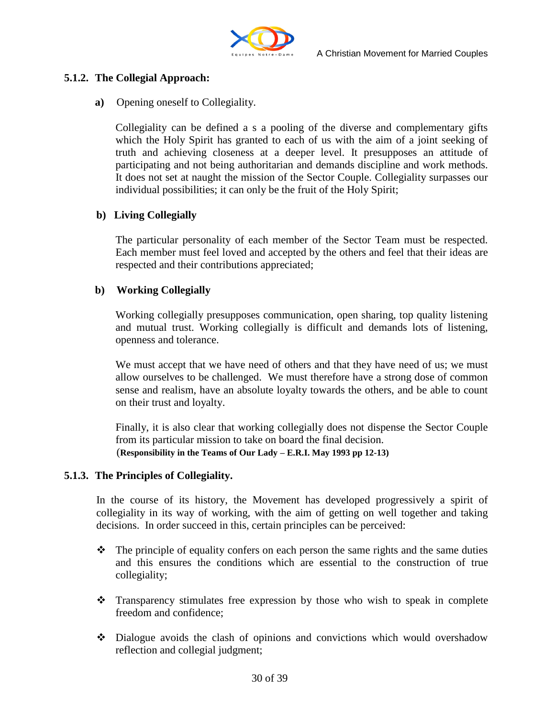

#### **5.1.2. The Collegial Approach:**

#### **a)** Opening oneself to Collegiality.

Collegiality can be defined a s a pooling of the diverse and complementary gifts which the Holy Spirit has granted to each of us with the aim of a joint seeking of truth and achieving closeness at a deeper level. It presupposes an attitude of participating and not being authoritarian and demands discipline and work methods. It does not set at naught the mission of the Sector Couple. Collegiality surpasses our individual possibilities; it can only be the fruit of the Holy Spirit;

#### **b) Living Collegially**

The particular personality of each member of the Sector Team must be respected. Each member must feel loved and accepted by the others and feel that their ideas are respected and their contributions appreciated;

#### **b) Working Collegially**

Working collegially presupposes communication, open sharing, top quality listening and mutual trust. Working collegially is difficult and demands lots of listening, openness and tolerance.

We must accept that we have need of others and that they have need of us; we must allow ourselves to be challenged. We must therefore have a strong dose of common sense and realism, have an absolute loyalty towards the others, and be able to count on their trust and loyalty.

Finally, it is also clear that working collegially does not dispense the Sector Couple from its particular mission to take on board the final decision. (**Responsibility in the Teams of Our Lady – E.R.I. May 1993 pp 12-13)**

#### **5.1.3. The Principles of Collegiality.**

In the course of its history, the Movement has developed progressively a spirit of collegiality in its way of working, with the aim of getting on well together and taking decisions. In order succeed in this, certain principles can be perceived:

- $\triangle$  The principle of equality confers on each person the same rights and the same duties and this ensures the conditions which are essential to the construction of true collegiality;
- Transparency stimulates free expression by those who wish to speak in complete freedom and confidence;
- Dialogue avoids the clash of opinions and convictions which would overshadow reflection and collegial judgment;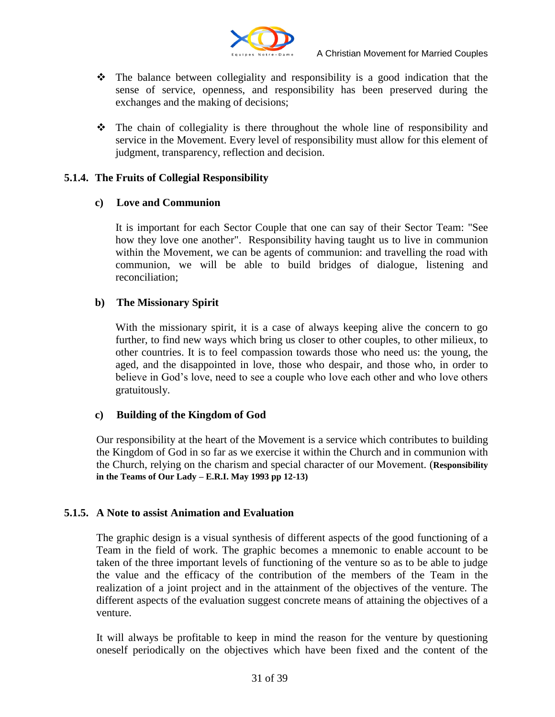

- $\triangle$  The balance between collegiality and responsibility is a good indication that the sense of service, openness, and responsibility has been preserved during the exchanges and the making of decisions;
- The chain of collegiality is there throughout the whole line of responsibility and service in the Movement. Every level of responsibility must allow for this element of judgment, transparency, reflection and decision.

#### **5.1.4. The Fruits of Collegial Responsibility**

#### **c) Love and Communion**

It is important for each Sector Couple that one can say of their Sector Team: "See how they love one another". Responsibility having taught us to live in communion within the Movement, we can be agents of communion: and travelling the road with communion, we will be able to build bridges of dialogue, listening and reconciliation;

#### **b) The Missionary Spirit**

With the missionary spirit, it is a case of always keeping alive the concern to go further, to find new ways which bring us closer to other couples, to other milieux, to other countries. It is to feel compassion towards those who need us: the young, the aged, and the disappointed in love, those who despair, and those who, in order to believe in God"s love, need to see a couple who love each other and who love others gratuitously.

#### **c) Building of the Kingdom of God**

Our responsibility at the heart of the Movement is a service which contributes to building the Kingdom of God in so far as we exercise it within the Church and in communion with the Church, relying on the charism and special character of our Movement. (**Responsibility in the Teams of Our Lady – E.R.I. May 1993 pp 12-13)**

#### **5.1.5. A Note to assist Animation and Evaluation**

The graphic design is a visual synthesis of different aspects of the good functioning of a Team in the field of work. The graphic becomes a mnemonic to enable account to be taken of the three important levels of functioning of the venture so as to be able to judge the value and the efficacy of the contribution of the members of the Team in the realization of a joint project and in the attainment of the objectives of the venture. The different aspects of the evaluation suggest concrete means of attaining the objectives of a venture.

It will always be profitable to keep in mind the reason for the venture by questioning oneself periodically on the objectives which have been fixed and the content of the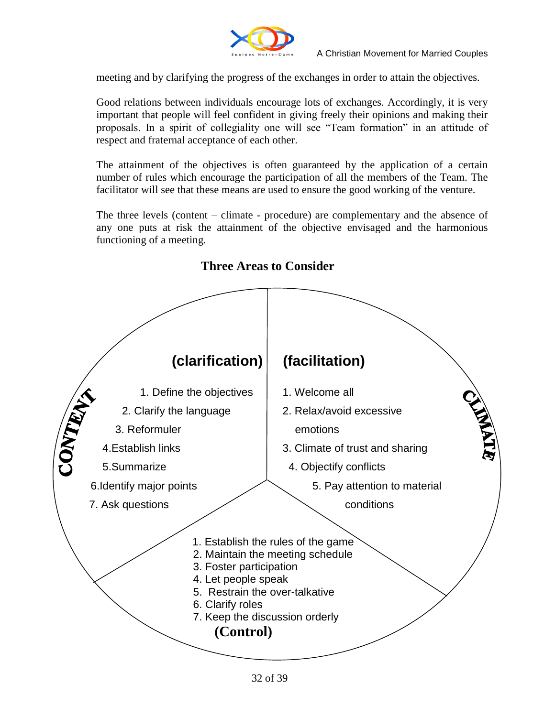

meeting and by clarifying the progress of the exchanges in order to attain the objectives.

Good relations between individuals encourage lots of exchanges. Accordingly, it is very important that people will feel confident in giving freely their opinions and making their proposals. In a spirit of collegiality one will see "Team formation" in an attitude of respect and fraternal acceptance of each other.

The attainment of the objectives is often guaranteed by the application of a certain number of rules which encourage the participation of all the members of the Team. The facilitator will see that these means are used to ensure the good working of the venture.

The three levels (content – climate - procedure) are complementary and the absence of any one puts at risk the attainment of the objective envisaged and the harmonious functioning of a meeting.



#### **Three Areas to Consider**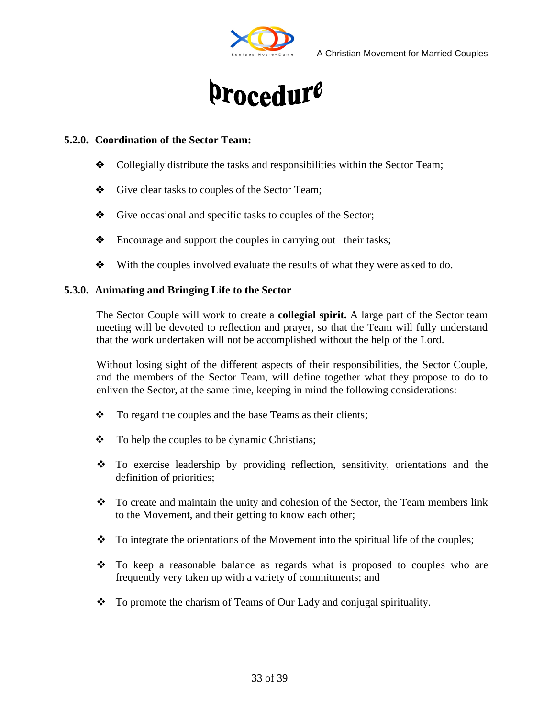

# A Christian Movement for Married Couples<br>
Droceduf<sup>e</sup>

#### **5.2.0. Coordination of the Sector Team:**

- $\bullet$  Collegially distribute the tasks and responsibilities within the Sector Team;
- Give clear tasks to couples of the Sector Team;
- Give occasional and specific tasks to couples of the Sector;
- **Encourage and support the couples in carrying out their tasks;**
- $\bullet$  With the couples involved evaluate the results of what they were asked to do.

#### **5.3.0. Animating and Bringing Life to the Sector**

The Sector Couple will work to create a **collegial spirit.** A large part of the Sector team meeting will be devoted to reflection and prayer, so that the Team will fully understand that the work undertaken will not be accomplished without the help of the Lord.

Without losing sight of the different aspects of their responsibilities, the Sector Couple, and the members of the Sector Team, will define together what they propose to do to enliven the Sector, at the same time, keeping in mind the following considerations:

- $\div$  To regard the couples and the base Teams as their clients;
- $\div$  To help the couples to be dynamic Christians;
- To exercise leadership by providing reflection, sensitivity, orientations and the definition of priorities;
- \* To create and maintain the unity and cohesion of the Sector, the Team members link to the Movement, and their getting to know each other;
- $\bullet$  To integrate the orientations of the Movement into the spiritual life of the couples;
- $\div$  To keep a reasonable balance as regards what is proposed to couples who are frequently very taken up with a variety of commitments; and
- \* To promote the charism of Teams of Our Lady and conjugal spirituality.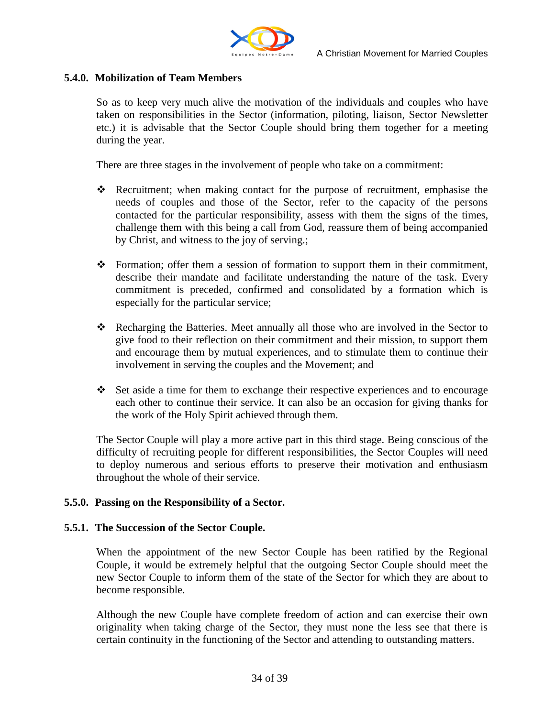

#### **5.4.0. Mobilization of Team Members**

So as to keep very much alive the motivation of the individuals and couples who have taken on responsibilities in the Sector (information, piloting, liaison, Sector Newsletter etc.) it is advisable that the Sector Couple should bring them together for a meeting during the year.

There are three stages in the involvement of people who take on a commitment:

- Recruitment; when making contact for the purpose of recruitment, emphasise the needs of couples and those of the Sector, refer to the capacity of the persons contacted for the particular responsibility, assess with them the signs of the times, challenge them with this being a call from God, reassure them of being accompanied by Christ, and witness to the joy of serving.;
- \* Formation; offer them a session of formation to support them in their commitment, describe their mandate and facilitate understanding the nature of the task. Every commitment is preceded, confirmed and consolidated by a formation which is especially for the particular service;
- \* Recharging the Batteries. Meet annually all those who are involved in the Sector to give food to their reflection on their commitment and their mission, to support them and encourage them by mutual experiences, and to stimulate them to continue their involvement in serving the couples and the Movement; and
- $\div$  Set aside a time for them to exchange their respective experiences and to encourage each other to continue their service. It can also be an occasion for giving thanks for the work of the Holy Spirit achieved through them.

The Sector Couple will play a more active part in this third stage. Being conscious of the difficulty of recruiting people for different responsibilities, the Sector Couples will need to deploy numerous and serious efforts to preserve their motivation and enthusiasm throughout the whole of their service.

#### **5.5.0. Passing on the Responsibility of a Sector.**

#### **5.5.1. The Succession of the Sector Couple.**

When the appointment of the new Sector Couple has been ratified by the Regional Couple, it would be extremely helpful that the outgoing Sector Couple should meet the new Sector Couple to inform them of the state of the Sector for which they are about to become responsible.

Although the new Couple have complete freedom of action and can exercise their own originality when taking charge of the Sector, they must none the less see that there is certain continuity in the functioning of the Sector and attending to outstanding matters.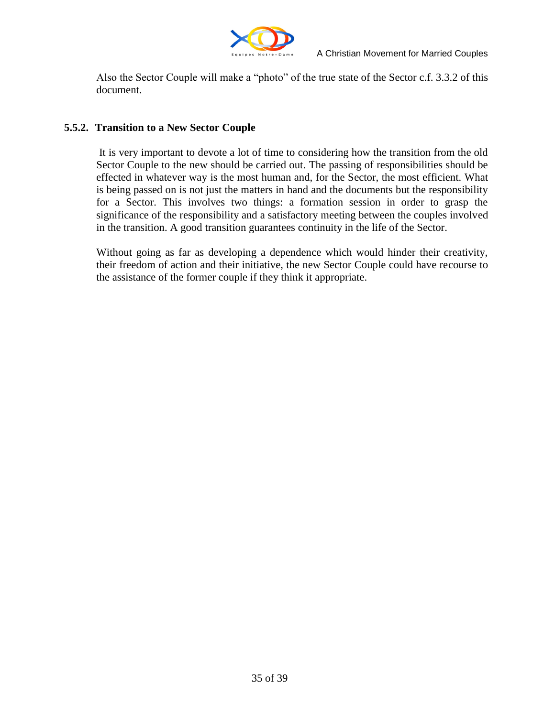

Also the Sector Couple will make a "photo" of the true state of the Sector c.f. 3.3.2 of this document.

#### **5.5.2. Transition to a New Sector Couple**

It is very important to devote a lot of time to considering how the transition from the old Sector Couple to the new should be carried out. The passing of responsibilities should be effected in whatever way is the most human and, for the Sector, the most efficient. What is being passed on is not just the matters in hand and the documents but the responsibility for a Sector. This involves two things: a formation session in order to grasp the significance of the responsibility and a satisfactory meeting between the couples involved in the transition. A good transition guarantees continuity in the life of the Sector.

Without going as far as developing a dependence which would hinder their creativity, their freedom of action and their initiative, the new Sector Couple could have recourse to the assistance of the former couple if they think it appropriate.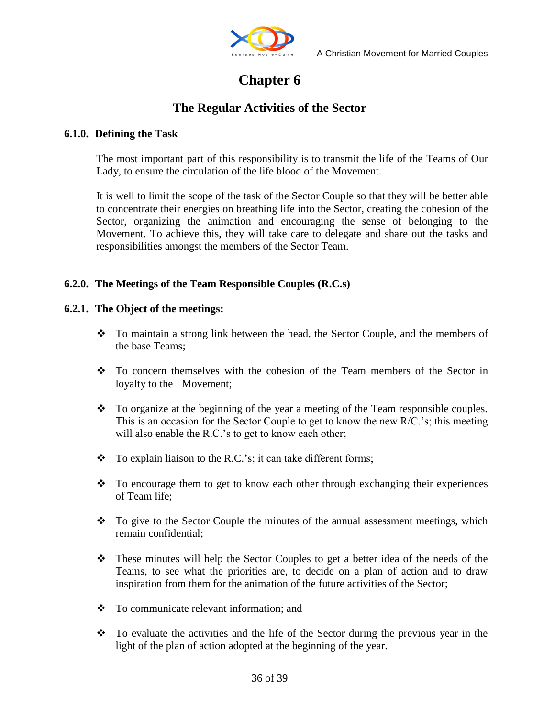

## **Chapter 6**

#### **The Regular Activities of the Sector**

#### **6.1.0. Defining the Task**

The most important part of this responsibility is to transmit the life of the Teams of Our Lady, to ensure the circulation of the life blood of the Movement.

It is well to limit the scope of the task of the Sector Couple so that they will be better able to concentrate their energies on breathing life into the Sector, creating the cohesion of the Sector, organizing the animation and encouraging the sense of belonging to the Movement. To achieve this, they will take care to delegate and share out the tasks and responsibilities amongst the members of the Sector Team.

#### **6.2.0. The Meetings of the Team Responsible Couples (R.C.s)**

#### **6.2.1. The Object of the meetings:**

- To maintain a strong link between the head, the Sector Couple, and the members of the base Teams;
- $\cdot \cdot$  To concern themselves with the cohesion of the Team members of the Sector in loyalty to the Movement;
- \* To organize at the beginning of the year a meeting of the Team responsible couples. This is an occasion for the Sector Couple to get to know the new R/C."s; this meeting will also enable the R.C.'s to get to know each other;
- $\bullet$  To explain liaison to the R.C.'s; it can take different forms;
- To encourage them to get to know each other through exchanging their experiences of Team life;
- To give to the Sector Couple the minutes of the annual assessment meetings, which remain confidential;
- These minutes will help the Sector Couples to get a better idea of the needs of the Teams, to see what the priorities are, to decide on a plan of action and to draw inspiration from them for the animation of the future activities of the Sector;
- To communicate relevant information; and
- \* To evaluate the activities and the life of the Sector during the previous year in the light of the plan of action adopted at the beginning of the year.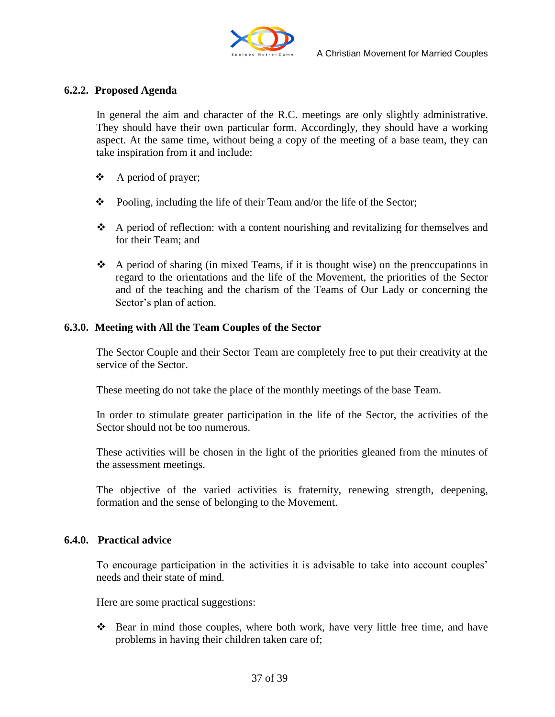

#### **6.2.2. Proposed Agenda**

In general the aim and character of the R.C. meetings are only slightly administrative. They should have their own particular form. Accordingly, they should have a working aspect. At the same time, without being a copy of the meeting of a base team, they can take inspiration from it and include:

- $\triangle$  A period of prayer;
- $\div$  Pooling, including the life of their Team and/or the life of the Sector;
- A period of reflection: with a content nourishing and revitalizing for themselves and for their Team; and
- $\bullet$  A period of sharing (in mixed Teams, if it is thought wise) on the preoccupations in regard to the orientations and the life of the Movement, the priorities of the Sector and of the teaching and the charism of the Teams of Our Lady or concerning the Sector's plan of action.

#### **6.3.0. Meeting with All the Team Couples of the Sector**

The Sector Couple and their Sector Team are completely free to put their creativity at the service of the Sector.

These meeting do not take the place of the monthly meetings of the base Team.

In order to stimulate greater participation in the life of the Sector, the activities of the Sector should not be too numerous.

These activities will be chosen in the light of the priorities gleaned from the minutes of the assessment meetings.

The objective of the varied activities is fraternity, renewing strength, deepening, formation and the sense of belonging to the Movement.

#### **6.4.0. Practical advice**

To encourage participation in the activities it is advisable to take into account couples" needs and their state of mind.

Here are some practical suggestions:

 Bear in mind those couples, where both work, have very little free time, and have problems in having their children taken care of;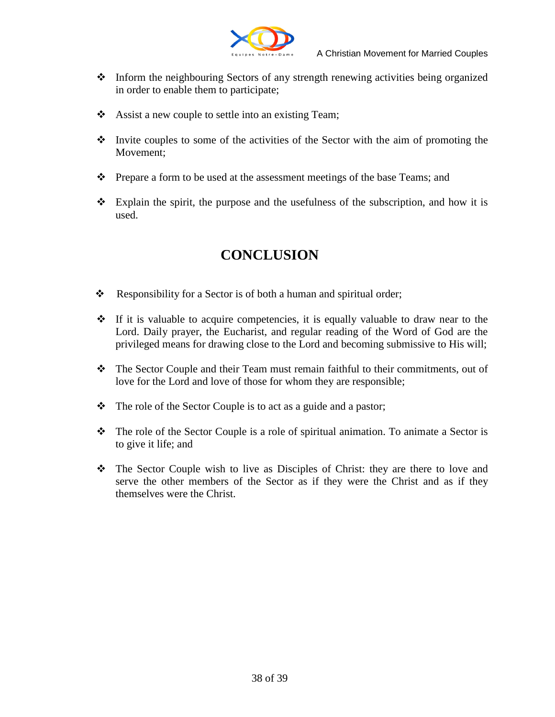

- Inform the neighbouring Sectors of any strength renewing activities being organized in order to enable them to participate;
- \* Assist a new couple to settle into an existing Team;
- Invite couples to some of the activities of the Sector with the aim of promoting the Movement;
- \* Prepare a form to be used at the assessment meetings of the base Teams; and
- $\div$  Explain the spirit, the purpose and the usefulness of the subscription, and how it is used.

## **CONCLUSION**

- Responsibility for a Sector is of both a human and spiritual order;
- $\div$  If it is valuable to acquire competencies, it is equally valuable to draw near to the Lord. Daily prayer, the Eucharist, and regular reading of the Word of God are the privileged means for drawing close to the Lord and becoming submissive to His will;
- The Sector Couple and their Team must remain faithful to their commitments, out of love for the Lord and love of those for whom they are responsible;
- The role of the Sector Couple is to act as a guide and a pastor;
- The role of the Sector Couple is a role of spiritual animation. To animate a Sector is to give it life; and
- The Sector Couple wish to live as Disciples of Christ: they are there to love and serve the other members of the Sector as if they were the Christ and as if they themselves were the Christ.